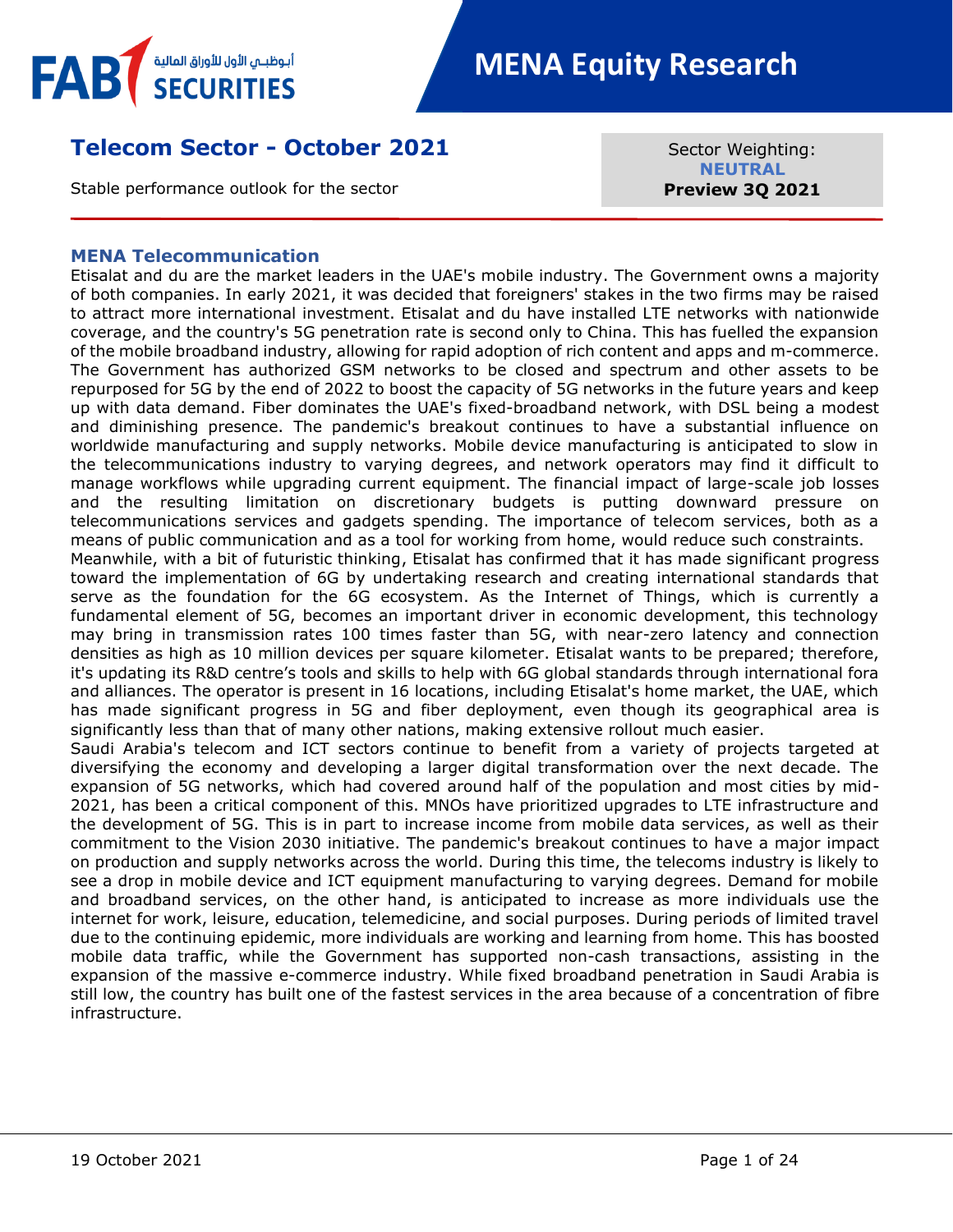

# **Telecom Sector - October 2021**

Stable performance outlook for the sector

Sector Weighting: **NEUTRAL Preview 3Q 2021**

#### <span id="page-0-0"></span>**MENA Telecommunication**

Etisalat and du are the market leaders in the UAE's mobile industry. The Government owns a majority of both companies. In early 2021, it was decided that foreigners' stakes in the two firms may be raised to attract more international investment. Etisalat and du have installed LTE networks with nationwide coverage, and the country's 5G penetration rate is second only to China. This has fuelled the expansion of the mobile broadband industry, allowing for rapid adoption of rich content and apps and m-commerce. The Government has authorized GSM networks to be closed and spectrum and other assets to be repurposed for 5G by the end of 2022 to boost the capacity of 5G networks in the future years and keep up with data demand. Fiber dominates the UAE's fixed-broadband network, with DSL being a modest and diminishing presence. The pandemic's breakout continues to have a substantial influence on worldwide manufacturing and supply networks. Mobile device manufacturing is anticipated to slow in the telecommunications industry to varying degrees, and network operators may find it difficult to manage workflows while upgrading current equipment. The financial impact of large-scale job losses and the resulting limitation on discretionary budgets is putting downward pressure on telecommunications services and gadgets spending. The importance of telecom services, both as a means of public communication and as a tool for working from home, would reduce such constraints. Meanwhile, with a bit of futuristic thinking, Etisalat has confirmed that it has made significant progress toward the implementation of 6G by undertaking research and creating international standards that serve as the foundation for the 6G ecosystem. As the Internet of Things, which is currently a fundamental element of 5G, becomes an important driver in economic development, this technology may bring in transmission rates 100 times faster than 5G, with near-zero latency and connection densities as high as 10 million devices per square kilometer. Etisalat wants to be prepared; therefore, it's updating its R&D centre's tools and skills to help with 6G global standards through international fora and alliances. The operator is present in 16 locations, including Etisalat's home market, the UAE, which has made significant progress in 5G and fiber deployment, even though its geographical area is significantly less than that of many other nations, making extensive rollout much easier. Saudi Arabia's telecom and ICT sectors continue to benefit from a variety of projects targeted at diversifying the economy and developing a larger digital transformation over the next decade. The expansion of 5G networks, which had covered around half of the population and most cities by mid-2021, has been a critical component of this. MNOs have prioritized upgrades to LTE infrastructure and the development of 5G. This is in part to increase income from mobile data services, as well as their commitment to the Vision 2030 initiative. The pandemic's breakout continues to have a major impact on production and supply networks across the world. During this time, the telecoms industry is likely to see a drop in mobile device and ICT equipment manufacturing to varying degrees. Demand for mobile and broadband services, on the other hand, is anticipated to increase as more individuals use the internet for work, leisure, education, telemedicine, and social purposes. During periods of limited travel due to the continuing epidemic, more individuals are working and learning from home. This has boosted mobile data traffic, while the Government has supported non-cash transactions, assisting in the expansion of the massive e-commerce industry. While fixed broadband penetration in Saudi Arabia is

still low, the country has built one of the fastest services in the area because of a concentration of fibre

infrastructure.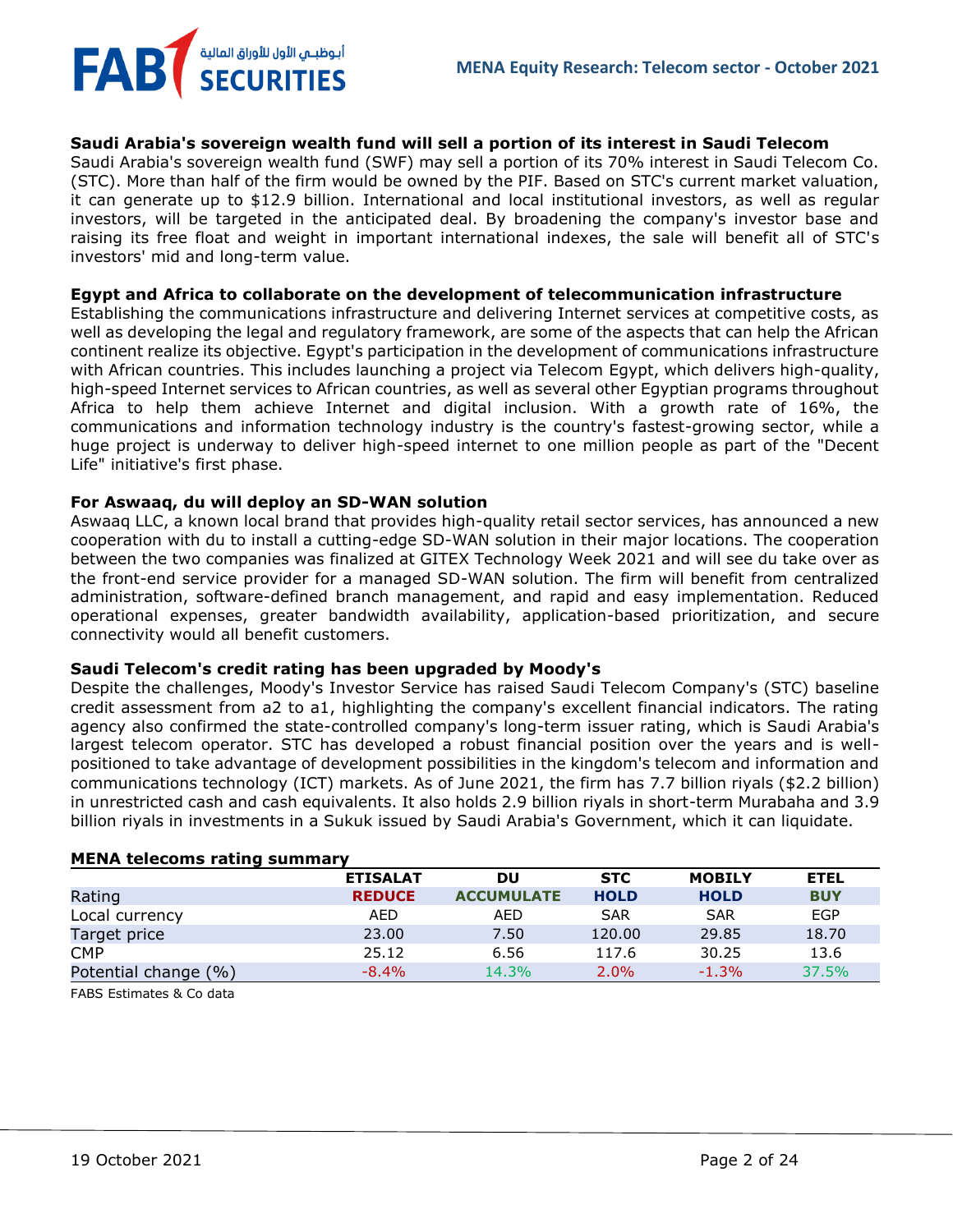**MENA Equity Research: Telecom sector - October 2021**

#### **Saudi Arabia's sovereign wealth fund will sell a portion of its interest in Saudi Telecom**

Saudi Arabia's sovereign wealth fund (SWF) may sell a portion of its 70% interest in Saudi Telecom Co. (STC). More than half of the firm would be owned by the PIF. Based on STC's current market valuation, it can generate up to \$12.9 billion. International and local institutional investors, as well as regular investors, will be targeted in the anticipated deal. By broadening the company's investor base and raising its free float and weight in important international indexes, the sale will benefit all of STC's investors' mid and long-term value.

#### **Egypt and Africa to collaborate on the development of telecommunication infrastructure**

Establishing the communications infrastructure and delivering Internet services at competitive costs, as well as developing the legal and regulatory framework, are some of the aspects that can help the African continent realize its objective. Egypt's participation in the development of communications infrastructure with African countries. This includes launching a project via Telecom Egypt, which delivers high-quality, high-speed Internet services to African countries, as well as several other Egyptian programs throughout Africa to help them achieve Internet and digital inclusion. With a growth rate of 16%, the communications and information technology industry is the country's fastest-growing sector, while a huge project is underway to deliver high-speed internet to one million people as part of the "Decent Life" initiative's first phase.

#### **For Aswaaq, du will deploy an SD-WAN solution**

أبوظبـي الأول للأوراق المالية <sup>/</sup><br>SECURITIES

Aswaaq LLC, a known local brand that provides high-quality retail sector services, has announced a new cooperation with du to install a cutting-edge SD-WAN solution in their major locations. The cooperation between the two companies was finalized at GITEX Technology Week 2021 and will see du take over as the front-end service provider for a managed SD-WAN solution. The firm will benefit from centralized administration, software-defined branch management, and rapid and easy implementation. Reduced operational expenses, greater bandwidth availability, application-based prioritization, and secure connectivity would all benefit customers.

#### **Saudi Telecom's credit rating has been upgraded by Moody's**

Despite the challenges, Moody's Investor Service has raised Saudi Telecom Company's (STC) baseline credit assessment from a2 to a1, highlighting the company's excellent financial indicators. The rating agency also confirmed the state-controlled company's long-term issuer rating, which is Saudi Arabia's largest telecom operator. STC has developed a robust financial position over the years and is wellpositioned to take advantage of development possibilities in the kingdom's telecom and information and communications technology (ICT) markets. As of June 2021, the firm has 7.7 billion riyals (\$2.2 billion) in unrestricted cash and cash equivalents. It also holds 2.9 billion riyals in short-term Murabaha and 3.9 billion riyals in investments in a Sukuk issued by Saudi Arabia's Government, which it can liquidate.

| <b>PILITA LEIECUITS FALITY SUITTING V</b> |                 |                   |             |               |             |
|-------------------------------------------|-----------------|-------------------|-------------|---------------|-------------|
|                                           | <b>ETISALAT</b> | DU                | <b>STC</b>  | <b>MOBILY</b> | <b>ETEL</b> |
| Rating                                    | <b>REDUCE</b>   | <b>ACCUMULATE</b> | <b>HOLD</b> | <b>HOLD</b>   | <b>BUY</b>  |
| Local currency                            | <b>AED</b>      | AED               | <b>SAR</b>  | <b>SAR</b>    | <b>EGP</b>  |
| Target price                              | 23.00           | 7.50              | 120.00      | 29.85         | 18.70       |
| <b>CMP</b>                                | 25.12           | 6.56              | 117.6       | 30.25         | 13.6        |
| Potential change (%)                      | $-8.4%$         | 14.3%             | 2.0%        | $-1.3%$       | 37.5%       |
|                                           |                 |                   |             |               |             |

### **MENA telecoms rating summary**

FABS Estimates & Co data

**FAB**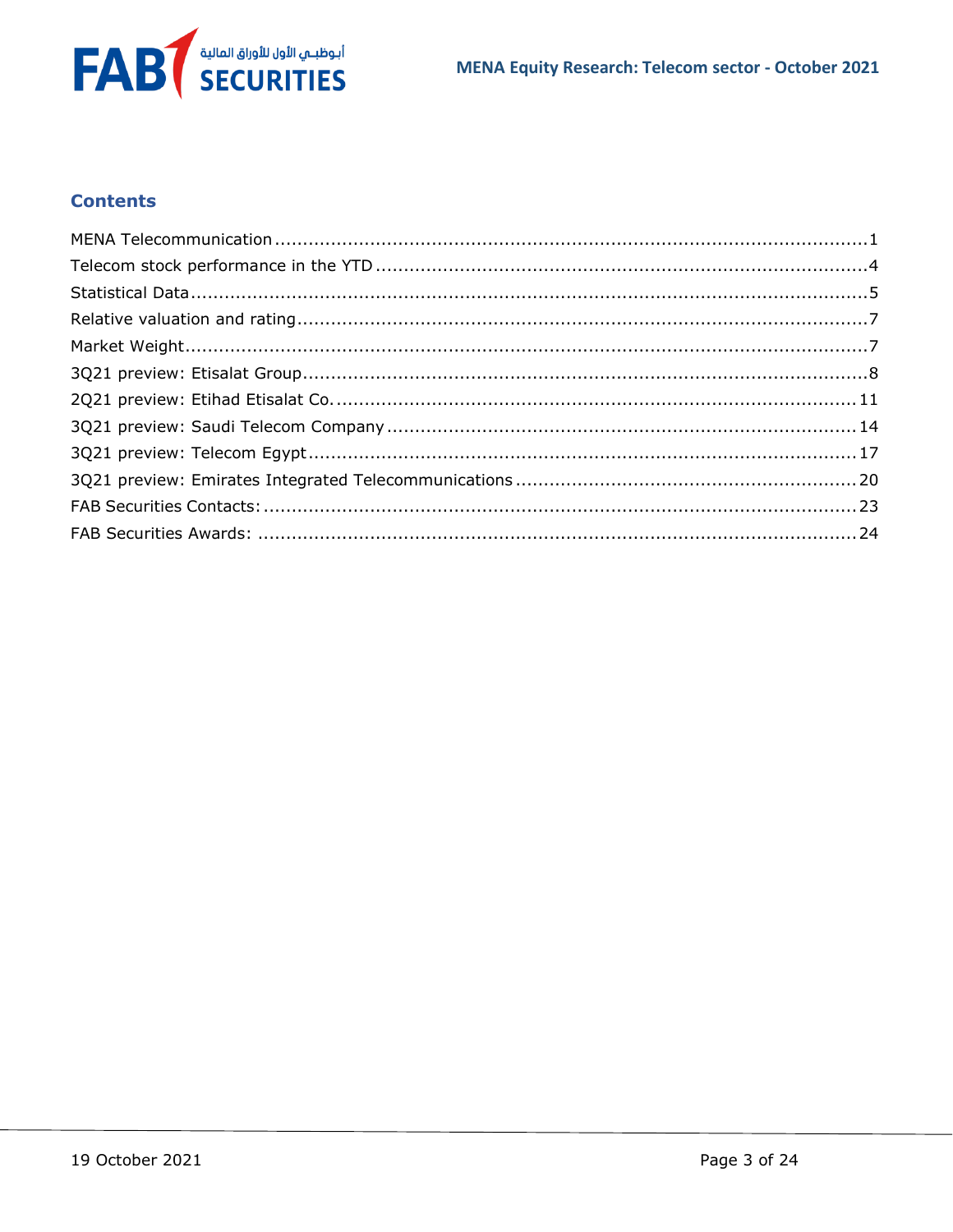

# **Contents**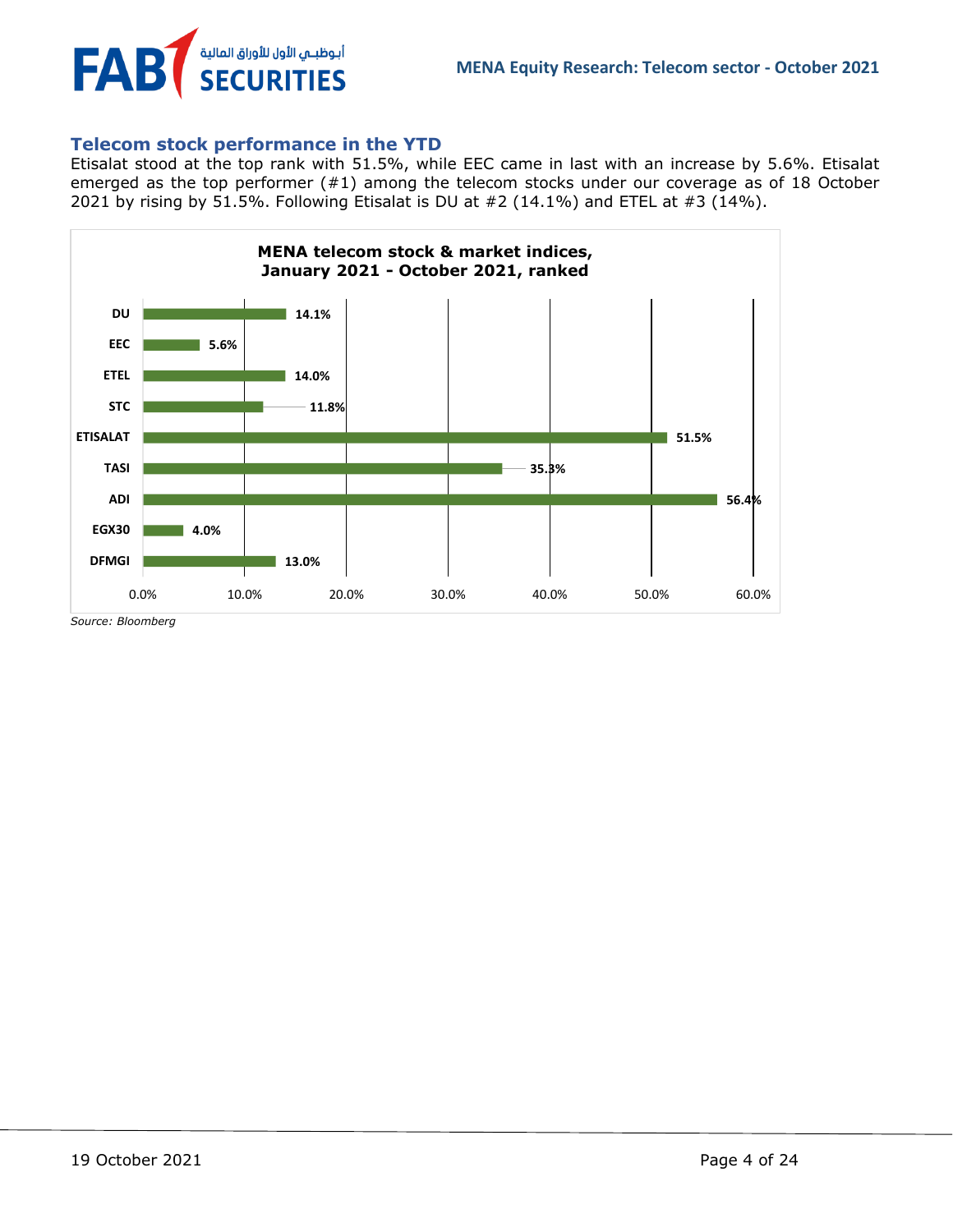

# <span id="page-3-0"></span>**Telecom stock performance in the YTD**

Etisalat stood at the top rank with 51.5%, while EEC came in last with an increase by 5.6%. Etisalat emerged as the top performer (#1) among the telecom stocks under our coverage as of 18 October 2021 by rising by 51.5%. Following Etisalat is DU at  $#2$  (14.1%) and ETEL at  $#3$  (14%).



*Source: Bloomberg*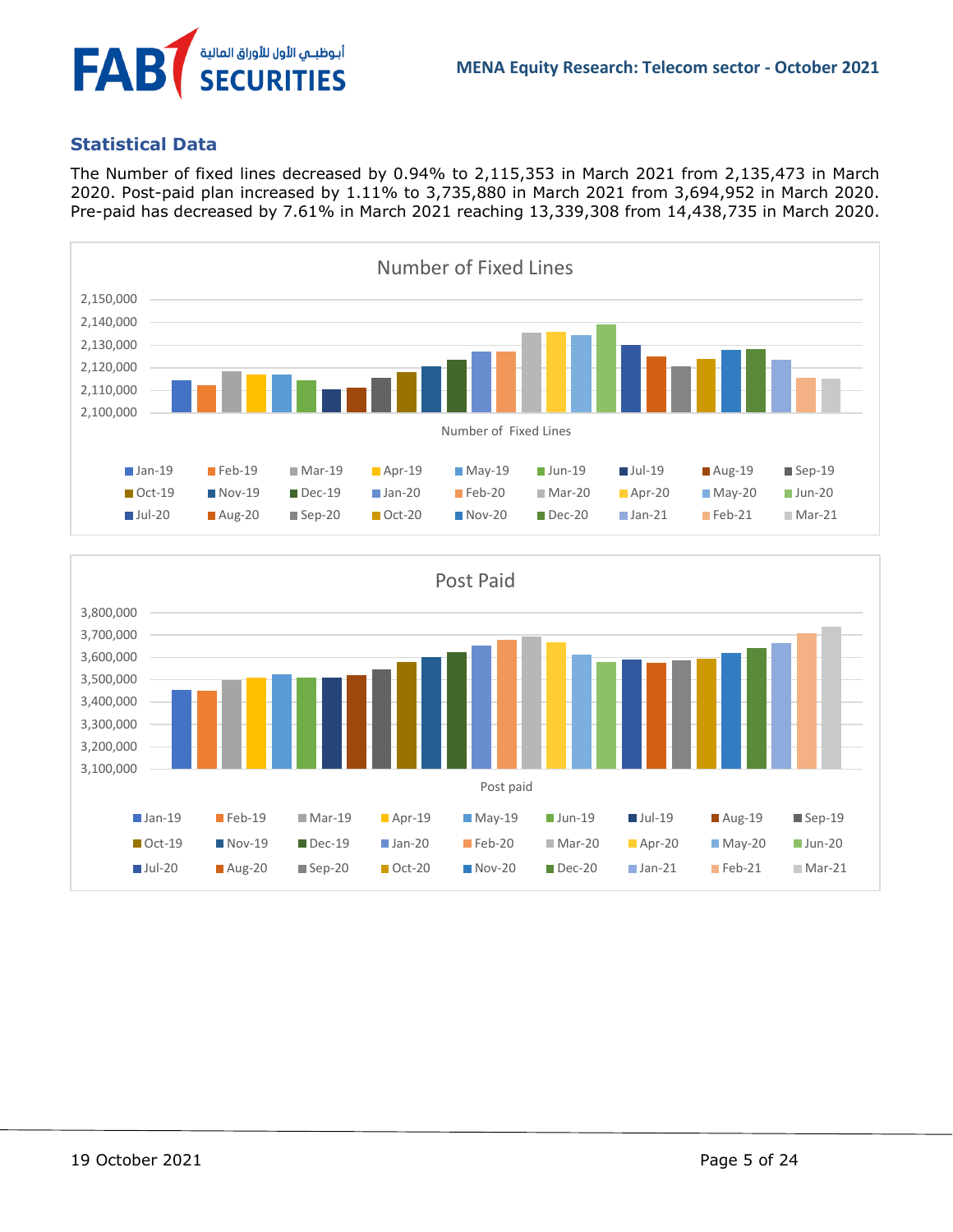

# <span id="page-4-0"></span>**Statistical Data**

أبوظبـي الأول للأوراق المالية<br>SECURITIES

FAB

The Number of fixed lines decreased by 0.94% to 2,115,353 in March 2021 from 2,135,473 in March 2020. Post-paid plan increased by 1.11% to 3,735,880 in March 2021 from 3,694,952 in March 2020. Pre-paid has decreased by 7.61% in March 2021 reaching 13,339,308 from 14,438,735 in March 2020.



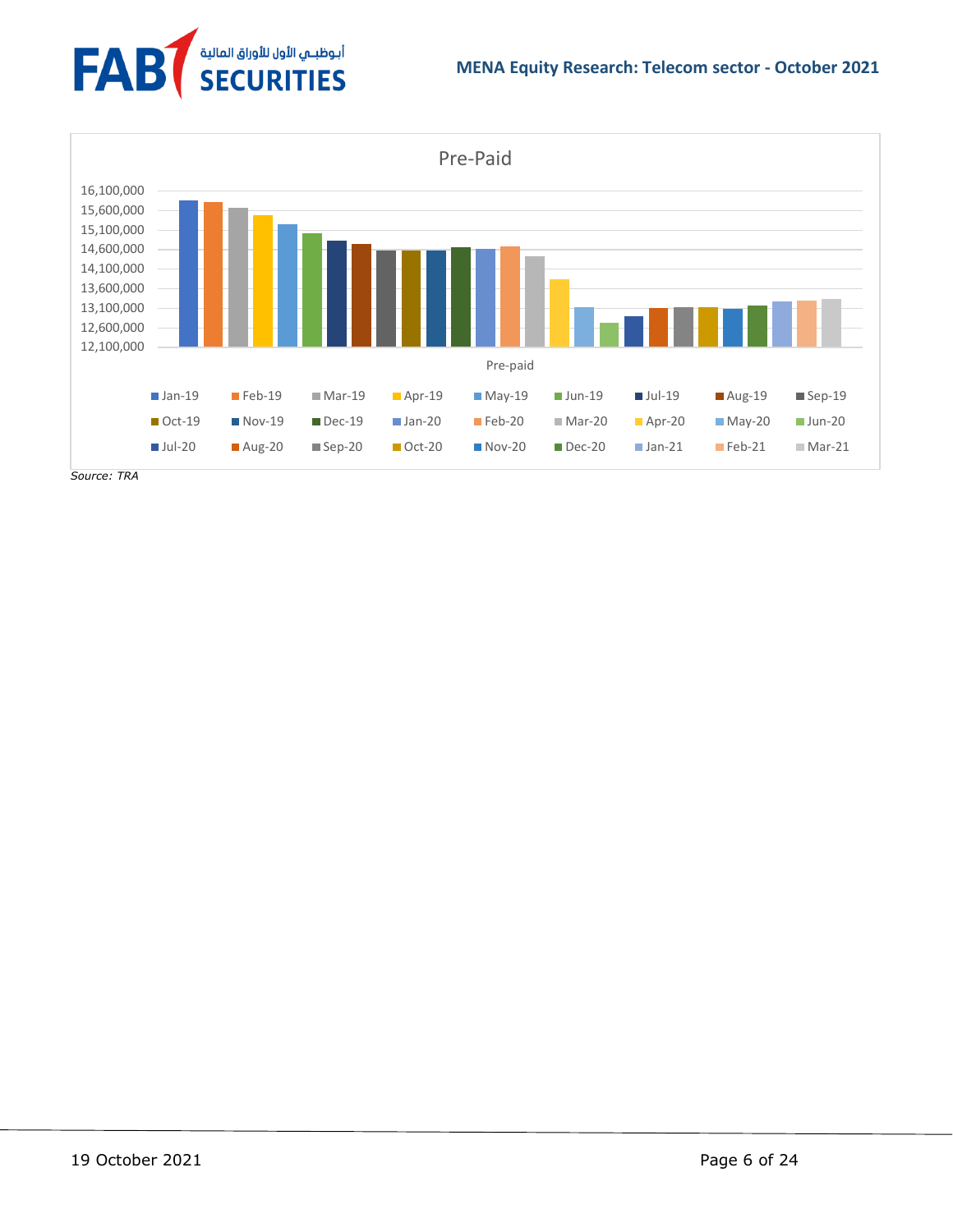



*Source: TRA*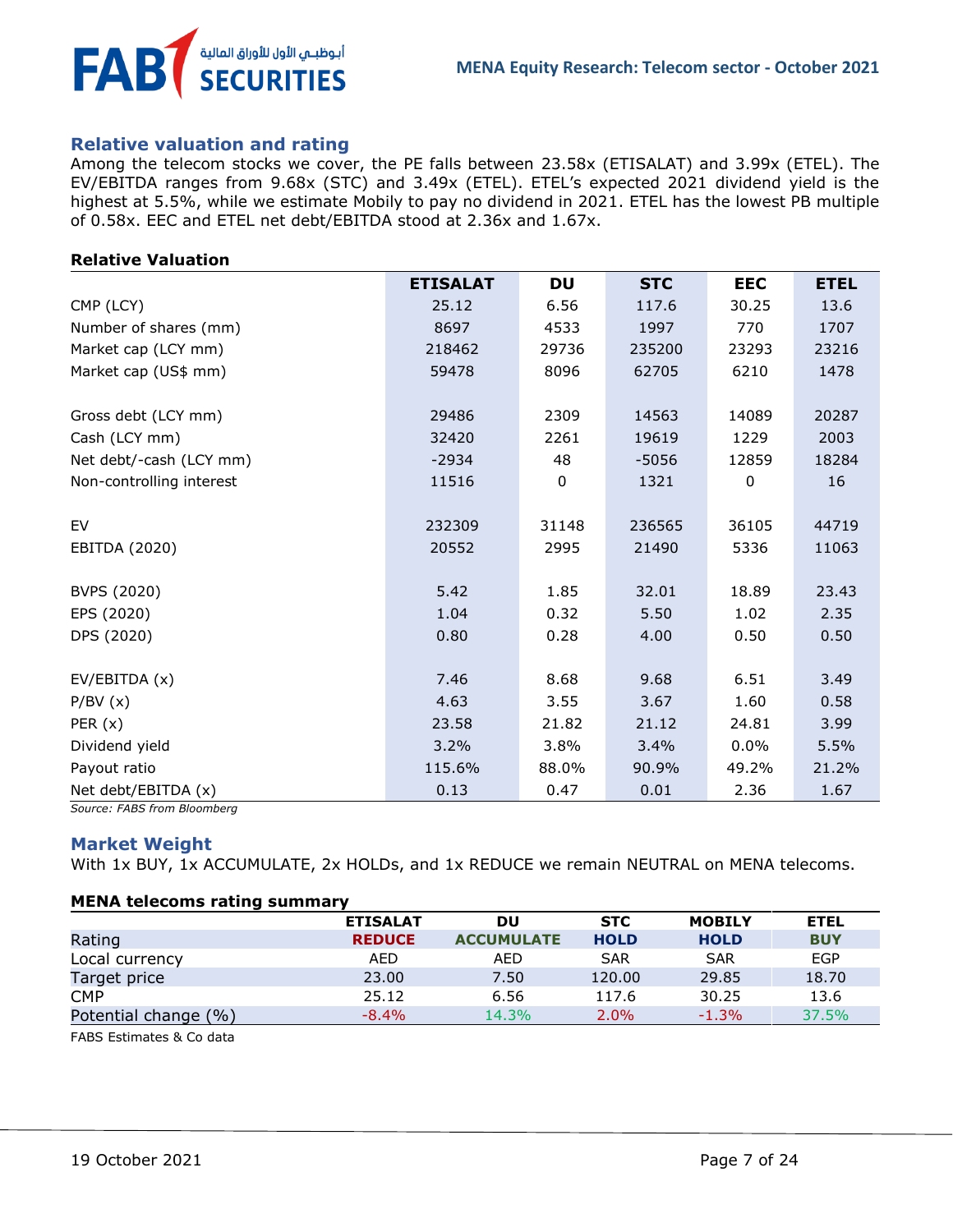

### <span id="page-6-0"></span>**Relative valuation and rating**

Among the telecom stocks we cover, the PE falls between 23.58x (ETISALAT) and 3.99x (ETEL). The EV/EBITDA ranges from 9.68x (STC) and 3.49x (ETEL). ETEL's expected 2021 dividend yield is the highest at 5.5%, while we estimate Mobily to pay no dividend in 2021. ETEL has the lowest PB multiple of 0.58x. EEC and ETEL net debt/EBITDA stood at 2.36x and 1.67x.

#### **Relative Valuation**

|                          | <b>ETISALAT</b> | <b>DU</b> | <b>STC</b> | <b>EEC</b> | <b>ETEL</b> |
|--------------------------|-----------------|-----------|------------|------------|-------------|
| CMP (LCY)                | 25.12           | 6.56      | 117.6      | 30.25      | 13.6        |
| Number of shares (mm)    | 8697            | 4533      | 1997       | 770        | 1707        |
| Market cap (LCY mm)      | 218462          | 29736     | 235200     | 23293      | 23216       |
| Market cap (US\$ mm)     | 59478           | 8096      | 62705      | 6210       | 1478        |
| Gross debt (LCY mm)      | 29486           | 2309      | 14563      | 14089      | 20287       |
| Cash (LCY mm)            | 32420           | 2261      | 19619      | 1229       | 2003        |
| Net debt/-cash (LCY mm)  | $-2934$         | 48        | $-5056$    | 12859      | 18284       |
| Non-controlling interest | 11516           | 0         | 1321       | 0          | 16          |
| EV                       | 232309          | 31148     | 236565     | 36105      | 44719       |
| EBITDA (2020)            | 20552           | 2995      | 21490      | 5336       | 11063       |
| BVPS (2020)              | 5.42            | 1.85      | 32.01      | 18.89      | 23.43       |
| EPS (2020)               | 1.04            | 0.32      | 5.50       | 1.02       | 2.35        |
| DPS (2020)               | 0.80            | 0.28      | 4.00       | 0.50       | 0.50        |
| EV/EBITDA (x)            | 7.46            | 8.68      | 9.68       | 6.51       | 3.49        |
| P/BV(x)                  | 4.63            | 3.55      | 3.67       | 1.60       | 0.58        |
| PER $(x)$                | 23.58           | 21.82     | 21.12      | 24.81      | 3.99        |
| Dividend yield           | 3.2%            | 3.8%      | 3.4%       | 0.0%       | 5.5%        |
| Payout ratio             | 115.6%          | 88.0%     | 90.9%      | 49.2%      | 21.2%       |
| Net debt/EBITDA (x)      | 0.13            | 0.47      | 0.01       | 2.36       | 1.67        |

<span id="page-6-1"></span>*Source: FABS from Bloomberg*

#### **Market Weight**

With 1x BUY, 1x ACCUMULATE, 2x HOLDs, and 1x REDUCE we remain NEUTRAL on MENA telecoms.

#### **MENA telecoms rating summary**

|                      | <b>ETISALAT</b> | DU                | <b>STC</b>  | <b>MOBILY</b> | <b>ETEL</b> |
|----------------------|-----------------|-------------------|-------------|---------------|-------------|
| Rating               | <b>REDUCE</b>   | <b>ACCUMULATE</b> | <b>HOLD</b> | <b>HOLD</b>   | <b>BUY</b>  |
| Local currency       | AED             | <b>AED</b>        | <b>SAR</b>  | <b>SAR</b>    | <b>EGP</b>  |
| Target price         | 23.00           | 7.50              | 120.00      | 29.85         | 18.70       |
| <b>CMP</b>           | 25.12           | 6.56              | 117.6       | 30.25         | 13.6        |
| Potential change (%) | $-8.4\%$        | 14.3%             | $2.0\%$     | $-1.3%$       | 37.5%       |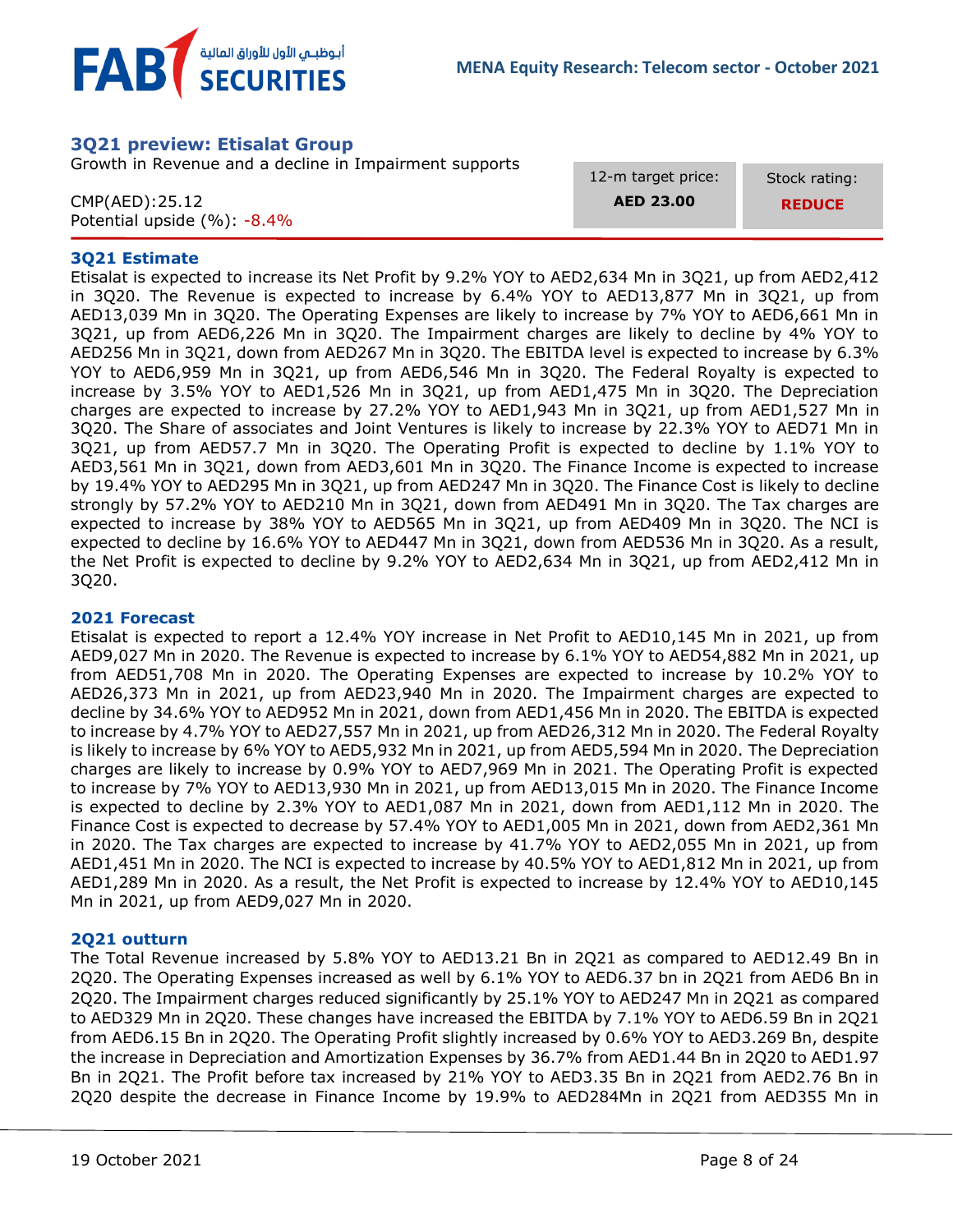



# <span id="page-7-0"></span>**3Q21 preview: Etisalat Group**

Growth in Revenue and a decline in Impairment supports

CMP(AED):25.12 Potential upside (%): -8.4% 12-m target price:

**AED 23.00**

Stock rating: **REDUCE**

#### **3Q21 Estimate**

Etisalat is expected to increase its Net Profit by 9.2% YOY to AED2,634 Mn in 3Q21, up from AED2,412 in 3Q20. The Revenue is expected to increase by 6.4% YOY to AED13,877 Mn in 3Q21, up from AED13,039 Mn in 3Q20. The Operating Expenses are likely to increase by 7% YOY to AED6,661 Mn in 3Q21, up from AED6,226 Mn in 3Q20. The Impairment charges are likely to decline by 4% YOY to AED256 Mn in 3Q21, down from AED267 Mn in 3Q20. The EBITDA level is expected to increase by 6.3% YOY to AED6,959 Mn in 3Q21, up from AED6,546 Mn in 3Q20. The Federal Royalty is expected to increase by 3.5% YOY to AED1,526 Mn in 3Q21, up from AED1,475 Mn in 3Q20. The Depreciation charges are expected to increase by 27.2% YOY to AED1,943 Mn in 3Q21, up from AED1,527 Mn in 3Q20. The Share of associates and Joint Ventures is likely to increase by 22.3% YOY to AED71 Mn in 3Q21, up from AED57.7 Mn in 3Q20. The Operating Profit is expected to decline by 1.1% YOY to AED3,561 Mn in 3Q21, down from AED3,601 Mn in 3Q20. The Finance Income is expected to increase by 19.4% YOY to AED295 Mn in 3Q21, up from AED247 Mn in 3Q20. The Finance Cost is likely to decline strongly by 57.2% YOY to AED210 Mn in 3Q21, down from AED491 Mn in 3Q20. The Tax charges are expected to increase by 38% YOY to AED565 Mn in 3Q21, up from AED409 Mn in 3Q20. The NCI is expected to decline by 16.6% YOY to AED447 Mn in 3Q21, down from AED536 Mn in 3Q20. As a result, the Net Profit is expected to decline by 9.2% YOY to AED2,634 Mn in 3Q21, up from AED2,412 Mn in 3Q20.

#### **2021 Forecast**

Etisalat is expected to report a 12.4% YOY increase in Net Profit to AED10,145 Mn in 2021, up from AED9,027 Mn in 2020. The Revenue is expected to increase by 6.1% YOY to AED54,882 Mn in 2021, up from AED51,708 Mn in 2020. The Operating Expenses are expected to increase by 10.2% YOY to AED26,373 Mn in 2021, up from AED23,940 Mn in 2020. The Impairment charges are expected to decline by 34.6% YOY to AED952 Mn in 2021, down from AED1,456 Mn in 2020. The EBITDA is expected to increase by 4.7% YOY to AED27,557 Mn in 2021, up from AED26,312 Mn in 2020. The Federal Royalty is likely to increase by 6% YOY to AED5,932 Mn in 2021, up from AED5,594 Mn in 2020. The Depreciation charges are likely to increase by 0.9% YOY to AED7,969 Mn in 2021. The Operating Profit is expected to increase by 7% YOY to AED13,930 Mn in 2021, up from AED13,015 Mn in 2020. The Finance Income is expected to decline by 2.3% YOY to AED1,087 Mn in 2021, down from AED1,112 Mn in 2020. The Finance Cost is expected to decrease by 57.4% YOY to AED1,005 Mn in 2021, down from AED2,361 Mn in 2020. The Tax charges are expected to increase by 41.7% YOY to AED2,055 Mn in 2021, up from AED1,451 Mn in 2020. The NCI is expected to increase by 40.5% YOY to AED1,812 Mn in 2021, up from AED1,289 Mn in 2020. As a result, the Net Profit is expected to increase by 12.4% YOY to AED10,145 Mn in 2021, up from AED9,027 Mn in 2020.

#### **2Q21 outturn**

The Total Revenue increased by 5.8% YOY to AED13.21 Bn in 2Q21 as compared to AED12.49 Bn in 2Q20. The Operating Expenses increased as well by 6.1% YOY to AED6.37 bn in 2Q21 from AED6 Bn in 2Q20. The Impairment charges reduced significantly by 25.1% YOY to AED247 Mn in 2Q21 as compared to AED329 Mn in 2Q20. These changes have increased the EBITDA by 7.1% YOY to AED6.59 Bn in 2Q21 from AED6.15 Bn in 2Q20. The Operating Profit slightly increased by 0.6% YOY to AED3.269 Bn, despite the increase in Depreciation and Amortization Expenses by 36.7% from AED1.44 Bn in 2Q20 to AED1.97 Bn in 2Q21. The Profit before tax increased by 21% YOY to AED3.35 Bn in 2Q21 from AED2.76 Bn in 2Q20 despite the decrease in Finance Income by 19.9% to AED284Mn in 2Q21 from AED355 Mn in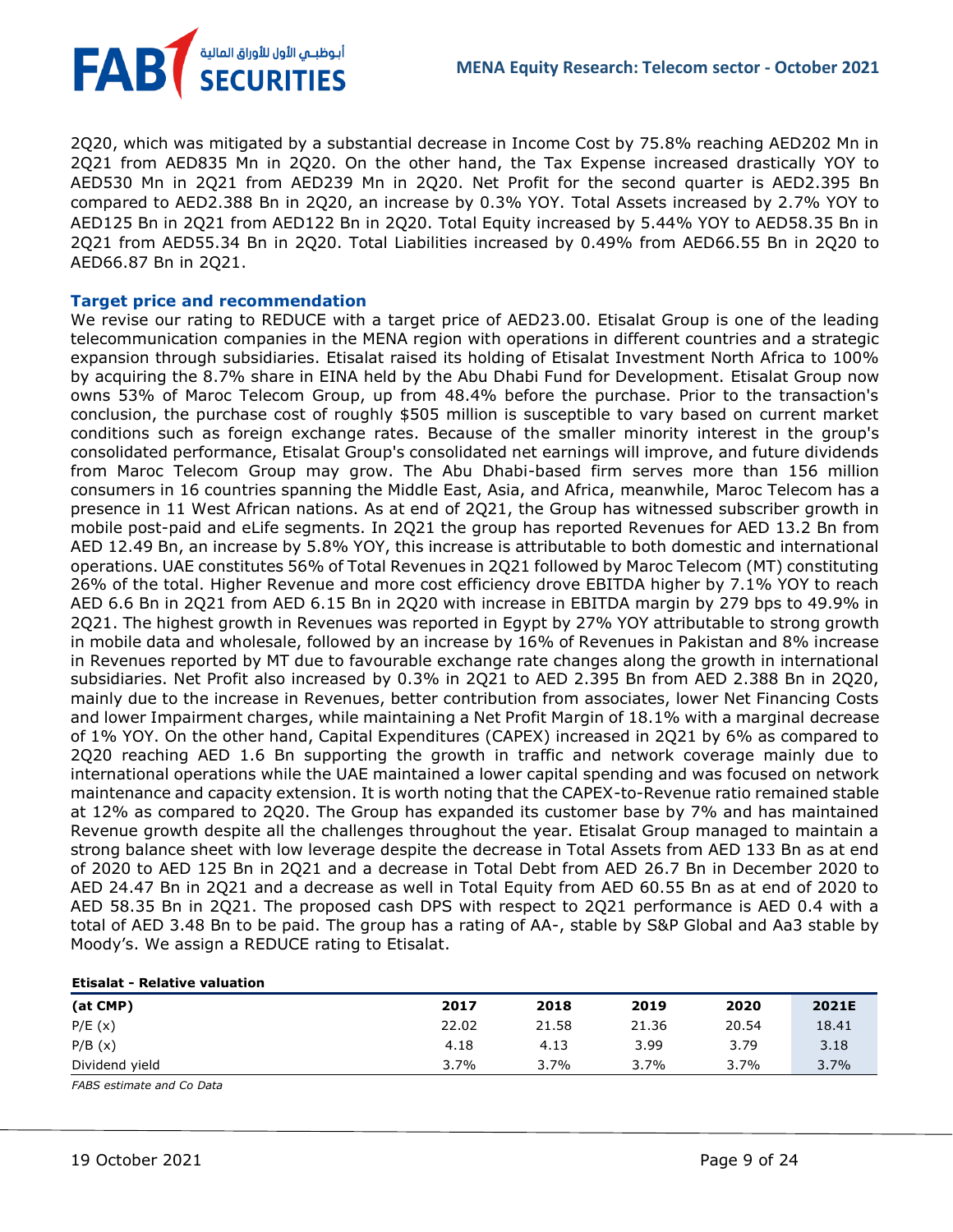FAB أبوظبـي الأول للأوراق المالية<br>SECURITIES

2Q20, which was mitigated by a substantial decrease in Income Cost by 75.8% reaching AED202 Mn in 2Q21 from AED835 Mn in 2Q20. On the other hand, the Tax Expense increased drastically YOY to AED530 Mn in 2Q21 from AED239 Mn in 2Q20. Net Profit for the second quarter is AED2.395 Bn compared to AED2.388 Bn in 2Q20, an increase by 0.3% YOY. Total Assets increased by 2.7% YOY to AED125 Bn in 2Q21 from AED122 Bn in 2Q20. Total Equity increased by 5.44% YOY to AED58.35 Bn in 2Q21 from AED55.34 Bn in 2Q20. Total Liabilities increased by 0.49% from AED66.55 Bn in 2Q20 to AED66.87 Bn in 2Q21.

#### **Target price and recommendation**

We revise our rating to REDUCE with a target price of AED23.00. Etisalat Group is one of the leading telecommunication companies in the MENA region with operations in different countries and a strategic expansion through subsidiaries. Etisalat raised its holding of Etisalat Investment North Africa to 100% by acquiring the 8.7% share in EINA held by the Abu Dhabi Fund for Development. Etisalat Group now owns 53% of Maroc Telecom Group, up from 48.4% before the purchase. Prior to the transaction's conclusion, the purchase cost of roughly \$505 million is susceptible to vary based on current market conditions such as foreign exchange rates. Because of the smaller minority interest in the group's consolidated performance, Etisalat Group's consolidated net earnings will improve, and future dividends from Maroc Telecom Group may grow. The Abu Dhabi-based firm serves more than 156 million consumers in 16 countries spanning the Middle East, Asia, and Africa, meanwhile, Maroc Telecom has a presence in 11 West African nations. As at end of 2Q21, the Group has witnessed subscriber growth in mobile post-paid and eLife segments. In 2Q21 the group has reported Revenues for AED 13.2 Bn from AED 12.49 Bn, an increase by 5.8% YOY, this increase is attributable to both domestic and international operations. UAE constitutes 56% of Total Revenues in 2Q21 followed by Maroc Telecom (MT) constituting 26% of the total. Higher Revenue and more cost efficiency drove EBITDA higher by 7.1% YOY to reach AED 6.6 Bn in 2Q21 from AED 6.15 Bn in 2Q20 with increase in EBITDA margin by 279 bps to 49.9% in 2Q21. The highest growth in Revenues was reported in Egypt by 27% YOY attributable to strong growth in mobile data and wholesale, followed by an increase by 16% of Revenues in Pakistan and 8% increase in Revenues reported by MT due to favourable exchange rate changes along the growth in international subsidiaries. Net Profit also increased by 0.3% in 2Q21 to AED 2.395 Bn from AED 2.388 Bn in 2Q20, mainly due to the increase in Revenues, better contribution from associates, lower Net Financing Costs and lower Impairment charges, while maintaining a Net Profit Margin of 18.1% with a marginal decrease of 1% YOY. On the other hand, Capital Expenditures (CAPEX) increased in 2Q21 by 6% as compared to 2Q20 reaching AED 1.6 Bn supporting the growth in traffic and network coverage mainly due to international operations while the UAE maintained a lower capital spending and was focused on network maintenance and capacity extension. It is worth noting that the CAPEX-to-Revenue ratio remained stable at 12% as compared to 2Q20. The Group has expanded its customer base by 7% and has maintained Revenue growth despite all the challenges throughout the year. Etisalat Group managed to maintain a strong balance sheet with low leverage despite the decrease in Total Assets from AED 133 Bn as at end of 2020 to AED 125 Bn in 2Q21 and a decrease in Total Debt from AED 26.7 Bn in December 2020 to AED 24.47 Bn in 2Q21 and a decrease as well in Total Equity from AED 60.55 Bn as at end of 2020 to AED 58.35 Bn in 2Q21. The proposed cash DPS with respect to 2Q21 performance is AED 0.4 with a total of AED 3.48 Bn to be paid. The group has a rating of AA-, stable by S&P Global and Aa3 stable by Moody's. We assign a REDUCE rating to Etisalat.

| <b>Etisalat - Relative valuation</b> |       |         |       |         |       |
|--------------------------------------|-------|---------|-------|---------|-------|
| (at CMP)                             | 2017  | 2018    | 2019  | 2020    | 2021E |
| P/E(x)                               | 22.02 | 21.58   | 21.36 | 20.54   | 18.41 |
| P/B(x)                               | 4.18  | 4.13    | 3.99  | 3.79    | 3.18  |
| Dividend yield                       | 3.7%  | $3.7\%$ | 3.7%  | $3.7\%$ | 3.7%  |

*FABS estimate and Co Data*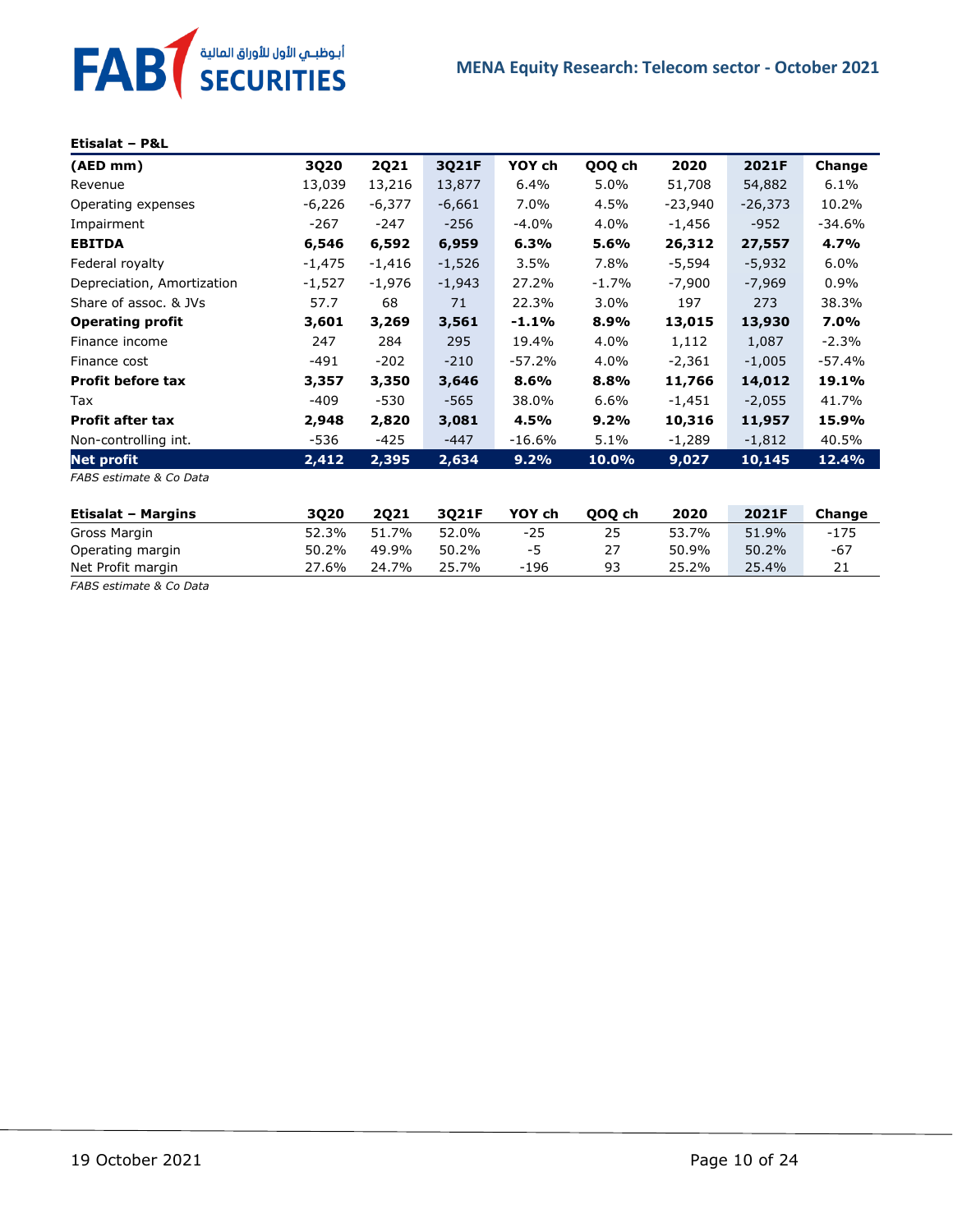# FAB<sup>T</sup> SECURITIES

#### **Etisalat – P&L**

| (AED mm)                   | 3Q20     | <b>2Q21</b> | 3Q21F    | YOY ch   | QOQ ch   | 2020     | 2021F     | Change   |
|----------------------------|----------|-------------|----------|----------|----------|----------|-----------|----------|
| Revenue                    | 13,039   | 13,216      | 13,877   | 6.4%     | $5.0\%$  | 51,708   | 54,882    | 6.1%     |
| Operating expenses         | $-6,226$ | $-6,377$    | $-6,661$ | 7.0%     | 4.5%     | -23,940  | $-26,373$ | 10.2%    |
| Impairment                 | -267     | -247        | $-256$   | $-4.0%$  | 4.0%     | -1,456   | $-952$    | -34.6%   |
| <b>EBITDA</b>              | 6,546    | 6,592       | 6,959    | 6.3%     | 5.6%     | 26,312   | 27,557    | 4.7%     |
| Federal royalty            | $-1,475$ | $-1,416$    | $-1,526$ | 3.5%     | 7.8%     | $-5,594$ | $-5,932$  | 6.0%     |
| Depreciation, Amortization | $-1,527$ | -1,976      | $-1,943$ | 27.2%    | $-1.7\%$ | -7,900   | $-7,969$  | $0.9\%$  |
| Share of assoc. & JVs      | 57.7     | 68          | 71       | 22.3%    | $3.0\%$  | 197      | 273       | 38.3%    |
| <b>Operating profit</b>    | 3,601    | 3,269       | 3,561    | $-1.1%$  | 8.9%     | 13,015   | 13,930    | 7.0%     |
| Finance income             | 247      | 284         | 295      | 19.4%    | 4.0%     | 1,112    | 1,087     | $-2.3\%$ |
| Finance cost               | $-491$   | $-202$      | $-210$   | $-57.2%$ | 4.0%     | $-2,361$ | $-1,005$  | $-57.4%$ |
| <b>Profit before tax</b>   | 3,357    | 3,350       | 3,646    | 8.6%     | 8.8%     | 11,766   | 14,012    | 19.1%    |
| Tax                        | $-409$   | $-530$      | $-565$   | 38.0%    | 6.6%     | $-1,451$ | $-2,055$  | 41.7%    |
| <b>Profit after tax</b>    | 2,948    | 2,820       | 3,081    | 4.5%     | $9.2\%$  | 10,316   | 11,957    | 15.9%    |
| Non-controlling int.       | -536     | $-425$      | $-447$   | $-16.6%$ | 5.1%     | -1,289   | $-1,812$  | 40.5%    |
| Net profit                 | 2,412    | 2,395       | 2,634    | 9.2%     | 10.0%    | 9,027    | 10,145    | 12.4%    |
| FABS estimate & Co Data    |          |             |          |          |          |          |           |          |
| <b>Etisalat - Margins</b>  | 3Q20     | <b>2Q21</b> | 3Q21F    | YOY ch   | 000 ch   | 2020     | 2021F     | Change   |

Gross Margin 52.3% 51.7% 52.0% -25 25 53.7% 51.9% -175 Operating margin 50.2% 49.9% 50.2% -5 27 50.9% 50.2% -67

Net Profit margin 27.6% 24.7% 25.7% -196 93 25.2% 25.4% 21 *FABS estimate & Co Data*

| 19 October 2021 |  |
|-----------------|--|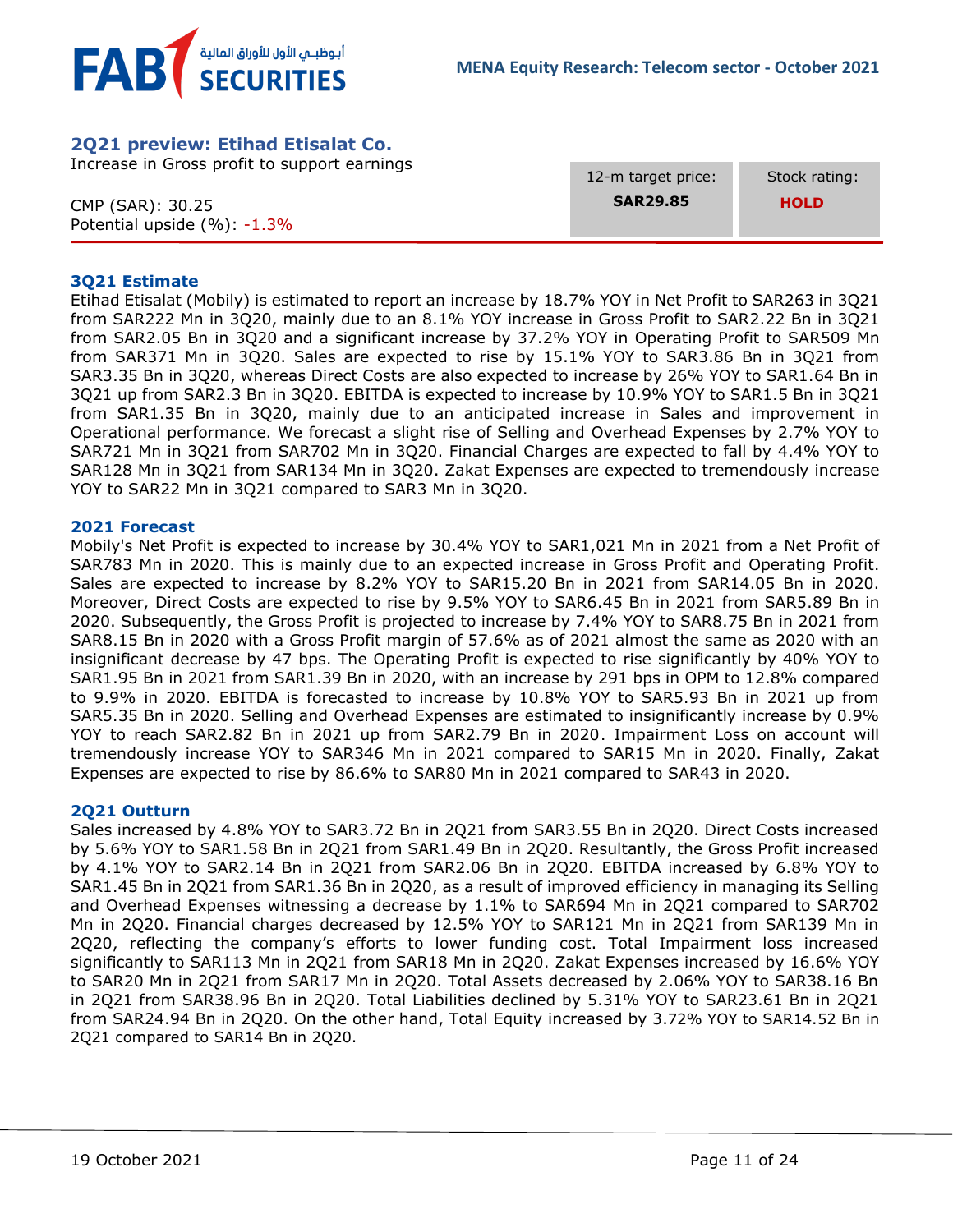

# <span id="page-10-0"></span>**2Q21 preview: Etihad Etisalat Co.**

Increase in Gross profit to support earnings

CMP (SAR): 30.25 Potential upside (%): -1.3% 12-m target price: **SAR29.85**

 Stock rating:  **HOLD**

### **3Q21 Estimate**

Etihad Etisalat (Mobily) is estimated to report an increase by 18.7% YOY in Net Profit to SAR263 in 3Q21 from SAR222 Mn in 3Q20, mainly due to an 8.1% YOY increase in Gross Profit to SAR2.22 Bn in 3Q21 from SAR2.05 Bn in 3Q20 and a significant increase by 37.2% YOY in Operating Profit to SAR509 Mn from SAR371 Mn in 3Q20. Sales are expected to rise by 15.1% YOY to SAR3.86 Bn in 3Q21 from SAR3.35 Bn in 3Q20, whereas Direct Costs are also expected to increase by 26% YOY to SAR1.64 Bn in 3Q21 up from SAR2.3 Bn in 3Q20. EBITDA is expected to increase by 10.9% YOY to SAR1.5 Bn in 3Q21 from SAR1.35 Bn in 3Q20, mainly due to an anticipated increase in Sales and improvement in Operational performance. We forecast a slight rise of Selling and Overhead Expenses by 2.7% YOY to SAR721 Mn in 3Q21 from SAR702 Mn in 3Q20. Financial Charges are expected to fall by 4.4% YOY to SAR128 Mn in 3Q21 from SAR134 Mn in 3Q20. Zakat Expenses are expected to tremendously increase YOY to SAR22 Mn in 3Q21 compared to SAR3 Mn in 3Q20.

#### **2021 Forecast**

Mobily's Net Profit is expected to increase by 30.4% YOY to SAR1,021 Mn in 2021 from a Net Profit of SAR783 Mn in 2020. This is mainly due to an expected increase in Gross Profit and Operating Profit. Sales are expected to increase by 8.2% YOY to SAR15.20 Bn in 2021 from SAR14.05 Bn in 2020. Moreover, Direct Costs are expected to rise by 9.5% YOY to SAR6.45 Bn in 2021 from SAR5.89 Bn in 2020. Subsequently, the Gross Profit is projected to increase by 7.4% YOY to SAR8.75 Bn in 2021 from SAR8.15 Bn in 2020 with a Gross Profit margin of 57.6% as of 2021 almost the same as 2020 with an insignificant decrease by 47 bps. The Operating Profit is expected to rise significantly by 40% YOY to SAR1.95 Bn in 2021 from SAR1.39 Bn in 2020, with an increase by 291 bps in OPM to 12.8% compared to 9.9% in 2020. EBITDA is forecasted to increase by 10.8% YOY to SAR5.93 Bn in 2021 up from SAR5.35 Bn in 2020. Selling and Overhead Expenses are estimated to insignificantly increase by 0.9% YOY to reach SAR2.82 Bn in 2021 up from SAR2.79 Bn in 2020. Impairment Loss on account will tremendously increase YOY to SAR346 Mn in 2021 compared to SAR15 Mn in 2020. Finally, Zakat Expenses are expected to rise by 86.6% to SAR80 Mn in 2021 compared to SAR43 in 2020.

#### **2Q21 Outturn**

Sales increased by 4.8% YOY to SAR3.72 Bn in 2Q21 from SAR3.55 Bn in 2Q20. Direct Costs increased by 5.6% YOY to SAR1.58 Bn in 2Q21 from SAR1.49 Bn in 2Q20. Resultantly, the Gross Profit increased by 4.1% YOY to SAR2.14 Bn in 2Q21 from SAR2.06 Bn in 2Q20. EBITDA increased by 6.8% YOY to SAR1.45 Bn in 2Q21 from SAR1.36 Bn in 2Q20, as a result of improved efficiency in managing its Selling and Overhead Expenses witnessing a decrease by 1.1% to SAR694 Mn in 2Q21 compared to SAR702 Mn in 2Q20. Financial charges decreased by 12.5% YOY to SAR121 Mn in 2Q21 from SAR139 Mn in 2Q20, reflecting the company's efforts to lower funding cost. Total Impairment loss increased significantly to SAR113 Mn in 2Q21 from SAR18 Mn in 2Q20. Zakat Expenses increased by 16.6% YOY to SAR20 Mn in 2Q21 from SAR17 Mn in 2Q20. Total Assets decreased by 2.06% YOY to SAR38.16 Bn in 2Q21 from SAR38.96 Bn in 2Q20. Total Liabilities declined by 5.31% YOY to SAR23.61 Bn in 2Q21 from SAR24.94 Bn in 2Q20. On the other hand, Total Equity increased by 3.72% YOY to SAR14.52 Bn in 2Q21 compared to SAR14 Bn in 2Q20.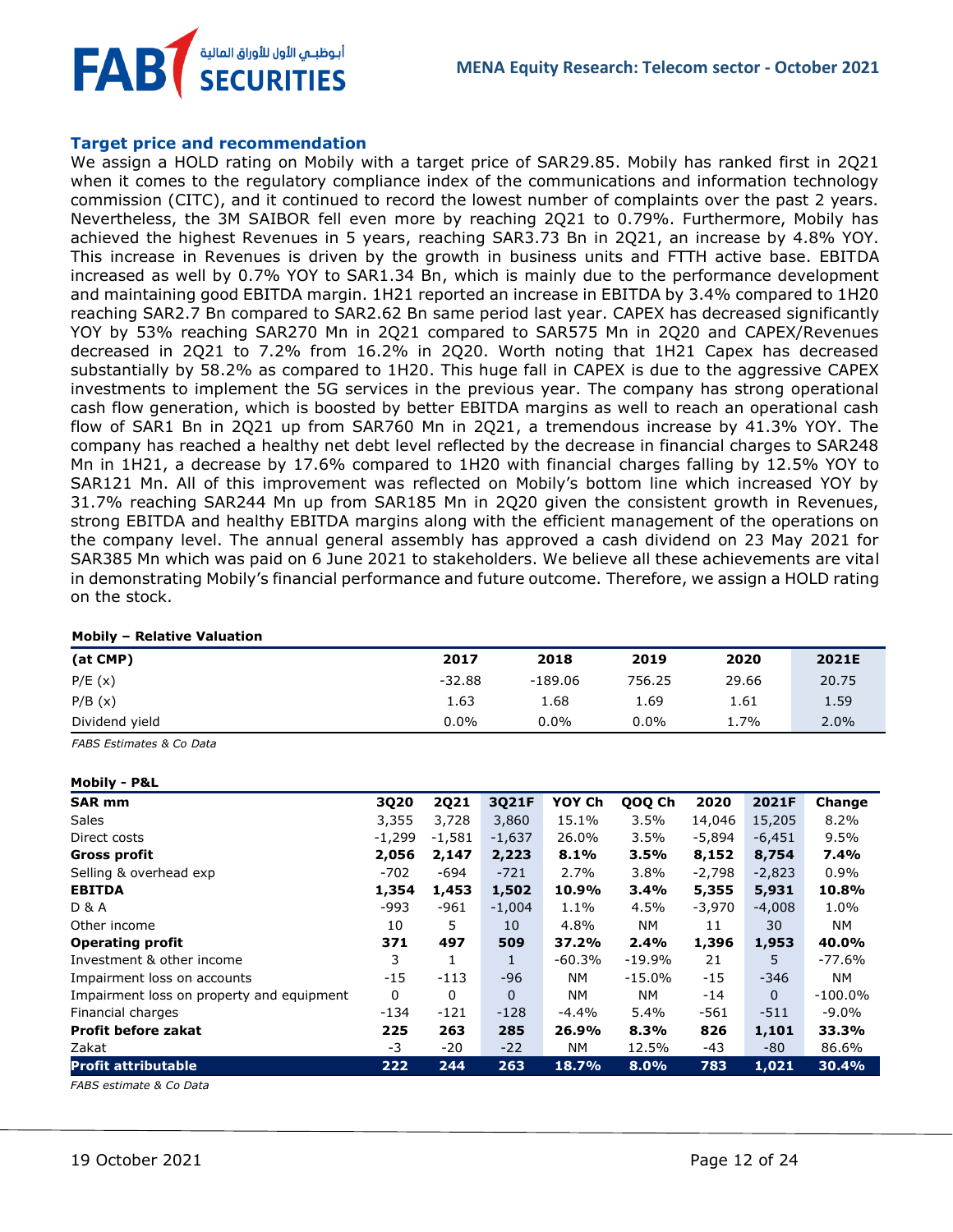**FAB** أبوظبـي الأول للأوراق المالية<br>SECURITIES

#### **Target price and recommendation**

We assign a HOLD rating on Mobily with a target price of SAR29.85. Mobily has ranked first in 2Q21 when it comes to the regulatory compliance index of the communications and information technology commission (CITC), and it continued to record the lowest number of complaints over the past 2 years. Nevertheless, the 3M SAIBOR fell even more by reaching 2Q21 to 0.79%. Furthermore, Mobily has achieved the highest Revenues in 5 years, reaching SAR3.73 Bn in 2Q21, an increase by 4.8% YOY. This increase in Revenues is driven by the growth in business units and FTTH active base. EBITDA increased as well by 0.7% YOY to SAR1.34 Bn, which is mainly due to the performance development and maintaining good EBITDA margin. 1H21 reported an increase in EBITDA by 3.4% compared to 1H20 reaching SAR2.7 Bn compared to SAR2.62 Bn same period last year. CAPEX has decreased significantly YOY by 53% reaching SAR270 Mn in 2Q21 compared to SAR575 Mn in 2Q20 and CAPEX/Revenues decreased in 2Q21 to 7.2% from 16.2% in 2Q20. Worth noting that 1H21 Capex has decreased substantially by 58.2% as compared to 1H20. This huge fall in CAPEX is due to the aggressive CAPEX investments to implement the 5G services in the previous year. The company has strong operational cash flow generation, which is boosted by better EBITDA margins as well to reach an operational cash flow of SAR1 Bn in 2Q21 up from SAR760 Mn in 2Q21, a tremendous increase by 41.3% YOY. The company has reached a healthy net debt level reflected by the decrease in financial charges to SAR248 Mn in 1H21, a decrease by 17.6% compared to 1H20 with financial charges falling by 12.5% YOY to SAR121 Mn. All of this improvement was reflected on Mobily's bottom line which increased YOY by 31.7% reaching SAR244 Mn up from SAR185 Mn in 2Q20 given the consistent growth in Revenues, strong EBITDA and healthy EBITDA margins along with the efficient management of the operations on the company level. The annual general assembly has approved a cash dividend on 23 May 2021 for SAR385 Mn which was paid on 6 June 2021 to stakeholders. We believe all these achievements are vital in demonstrating Mobily's financial performance and future outcome. Therefore, we assign a HOLD rating on the stock.

#### **Mobily – Relative Valuation**

| (at CMP)       | 2017     | 2018    | 2019    | 2020  | 2021E |
|----------------|----------|---------|---------|-------|-------|
| P/E(x)         | $-32.88$ | -189.06 | 756.25  | 29.66 | 20.75 |
| P/B(x)         | 1.63     | 1.68    | 1.69    | 1.61  | 1.59  |
| Dividend yield | $0.0\%$  | $0.0\%$ | $0.0\%$ | 1.7%  | 2.0%  |

*FABS Estimates & Co Data*

#### **Mobily - P&L**

| <b>SAR mm</b>                             | 3Q20     | <b>2Q21</b> | 3Q21F        | YOY Ch   | QOQ Ch    | 2020     | 2021F    | Change     |
|-------------------------------------------|----------|-------------|--------------|----------|-----------|----------|----------|------------|
| <b>Sales</b>                              | 3,355    | 3,728       | 3,860        | 15.1%    | 3.5%      | 14,046   | 15,205   | 8.2%       |
| Direct costs                              | $-1,299$ | $-1,581$    | $-1,637$     | 26.0%    | 3.5%      | -5,894   | $-6,451$ | 9.5%       |
| <b>Gross profit</b>                       | 2,056    | 2,147       | 2,223        | 8.1%     | 3.5%      | 8,152    | 8,754    | 7.4%       |
| Selling & overhead exp                    | $-702$   | $-694$      | $-721$       | 2.7%     | 3.8%      | $-2,798$ | $-2,823$ | 0.9%       |
| <b>EBITDA</b>                             | 1,354    | 1,453       | 1,502        | 10.9%    | 3.4%      | 5,355    | 5,931    | 10.8%      |
| <b>D &amp; A</b>                          | -993     | $-961$      | $-1,004$     | 1.1%     | 4.5%      | $-3,970$ | $-4,008$ | 1.0%       |
| Other income                              | 10       | 5           | 10           | 4.8%     | NM.       | 11       | 30       | NM.        |
| <b>Operating profit</b>                   | 371      | 497         | 509          | 37.2%    | 2.4%      | 1,396    | 1,953    | 40.0%      |
| Investment & other income                 | 3        |             | $\mathbf{1}$ | $-60.3%$ | $-19.9%$  | 21       | 5        | $-77.6%$   |
| Impairment loss on accounts               | -15      | $-113$      | $-96$        | NM.      | $-15.0\%$ | $-15$    | -346     | NM.        |
| Impairment loss on property and equipment | 0        | 0           | $\mathbf{0}$ | NM.      | NΜ        | $-14$    | $\Omega$ | $-100.0\%$ |
| Financial charges                         | $-134$   | $-121$      | $-128$       | $-4.4%$  | 5.4%      | $-561$   | $-511$   | $-9.0\%$   |
| <b>Profit before zakat</b>                | 225      | 263         | 285          | 26.9%    | 8.3%      | 826      | 1,101    | 33.3%      |
| Zakat                                     | -3       | $-20$       | $-22$        | NM.      | 12.5%     | $-43$    | -80      | 86.6%      |
| <b>Profit attributable</b>                | 222      | 244         | 263          | 18.7%    | 8.0%      | 783      | 1,021    | 30.4%      |

*FABS estimate & Co Data*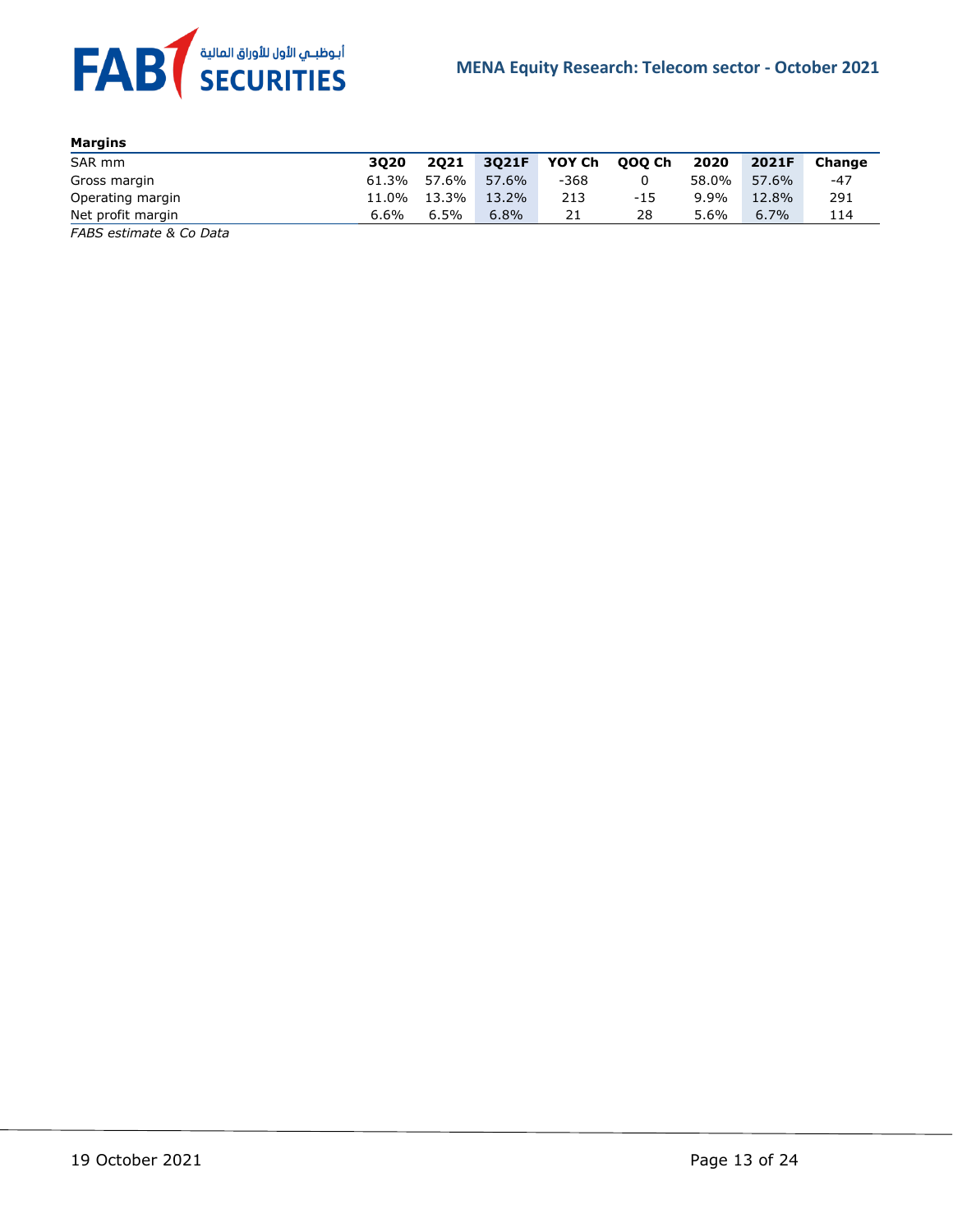

| Margins           |       |         |       |        |        |       |       |        |
|-------------------|-------|---------|-------|--------|--------|-------|-------|--------|
| SAR mm            | 3020  | 2021    | 3021F | YOY Ch | 000 Ch | 2020  | 2021F | Change |
| Gross margin      | 61.3% | 57.6%   | 57.6% | $-368$ |        | 58.0% | 57.6% | -47    |
| Operating margin  | 11.0% | 13.3%   | 13.2% | 213    | $-15$  | 9.9%  | 12.8% | 291    |
| Net profit margin | 6.6%  | $6.5\%$ | 6.8%  | 21     | 28     | 5.6%  | 6.7%  | 114    |

*FABS estimate & Co Data*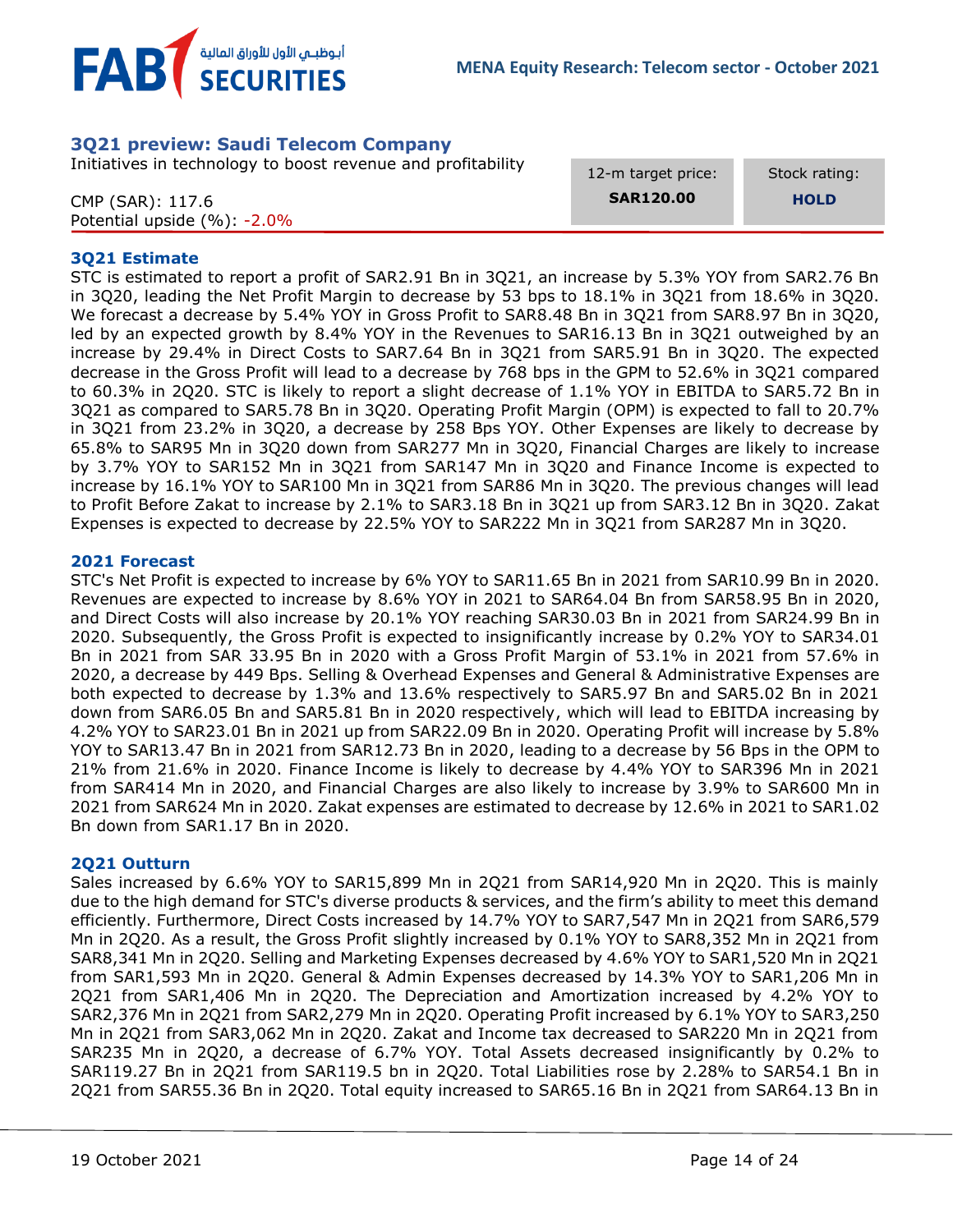

# <span id="page-13-0"></span>**3Q21 preview: Saudi Telecom Company**

Initiatives in technology to boost revenue and profitability

CMP (SAR): 117.6

12-m target price: **SAR120.00**

Stock rating: **HOLD**

| CMP (SAR): 117.6                |  |
|---------------------------------|--|
| Potential upside $(\%): -2.0\%$ |  |

#### **3Q21 Estimate**

STC is estimated to report a profit of SAR2.91 Bn in 3Q21, an increase by 5.3% YOY from SAR2.76 Bn in 3Q20, leading the Net Profit Margin to decrease by 53 bps to 18.1% in 3Q21 from 18.6% in 3Q20. We forecast a decrease by 5.4% YOY in Gross Profit to SAR8.48 Bn in 3Q21 from SAR8.97 Bn in 3Q20, led by an expected growth by 8.4% YOY in the Revenues to SAR16.13 Bn in 3Q21 outweighed by an increase by 29.4% in Direct Costs to SAR7.64 Bn in 3Q21 from SAR5.91 Bn in 3Q20. The expected decrease in the Gross Profit will lead to a decrease by 768 bps in the GPM to 52.6% in 3Q21 compared to 60.3% in 2Q20. STC is likely to report a slight decrease of 1.1% YOY in EBITDA to SAR5.72 Bn in 3Q21 as compared to SAR5.78 Bn in 3Q20. Operating Profit Margin (OPM) is expected to fall to 20.7% in 3Q21 from 23.2% in 3Q20, a decrease by 258 Bps YOY. Other Expenses are likely to decrease by 65.8% to SAR95 Mn in 3Q20 down from SAR277 Mn in 3Q20, Financial Charges are likely to increase by 3.7% YOY to SAR152 Mn in 3Q21 from SAR147 Mn in 3Q20 and Finance Income is expected to increase by 16.1% YOY to SAR100 Mn in 3Q21 from SAR86 Mn in 3Q20. The previous changes will lead to Profit Before Zakat to increase by 2.1% to SAR3.18 Bn in 3Q21 up from SAR3.12 Bn in 3Q20. Zakat Expenses is expected to decrease by 22.5% YOY to SAR222 Mn in 3Q21 from SAR287 Mn in 3Q20.

#### **2021 Forecast**

STC's Net Profit is expected to increase by 6% YOY to SAR11.65 Bn in 2021 from SAR10.99 Bn in 2020. Revenues are expected to increase by 8.6% YOY in 2021 to SAR64.04 Bn from SAR58.95 Bn in 2020, and Direct Costs will also increase by 20.1% YOY reaching SAR30.03 Bn in 2021 from SAR24.99 Bn in 2020. Subsequently, the Gross Profit is expected to insignificantly increase by 0.2% YOY to SAR34.01 Bn in 2021 from SAR 33.95 Bn in 2020 with a Gross Profit Margin of 53.1% in 2021 from 57.6% in 2020, a decrease by 449 Bps. Selling & Overhead Expenses and General & Administrative Expenses are both expected to decrease by 1.3% and 13.6% respectively to SAR5.97 Bn and SAR5.02 Bn in 2021 down from SAR6.05 Bn and SAR5.81 Bn in 2020 respectively, which will lead to EBITDA increasing by 4.2% YOY to SAR23.01 Bn in 2021 up from SAR22.09 Bn in 2020. Operating Profit will increase by 5.8% YOY to SAR13.47 Bn in 2021 from SAR12.73 Bn in 2020, leading to a decrease by 56 Bps in the OPM to 21% from 21.6% in 2020. Finance Income is likely to decrease by 4.4% YOY to SAR396 Mn in 2021 from SAR414 Mn in 2020, and Financial Charges are also likely to increase by 3.9% to SAR600 Mn in 2021 from SAR624 Mn in 2020. Zakat expenses are estimated to decrease by 12.6% in 2021 to SAR1.02 Bn down from SAR1.17 Bn in 2020.

#### **2Q21 Outturn**

Sales increased by 6.6% YOY to SAR15,899 Mn in 2Q21 from SAR14,920 Mn in 2Q20. This is mainly due to the high demand for STC's diverse products & services, and the firm's ability to meet this demand efficiently. Furthermore, Direct Costs increased by 14.7% YOY to SAR7,547 Mn in 2Q21 from SAR6,579 Mn in 2Q20. As a result, the Gross Profit slightly increased by 0.1% YOY to SAR8,352 Mn in 2Q21 from SAR8,341 Mn in 2Q20. Selling and Marketing Expenses decreased by 4.6% YOY to SAR1,520 Mn in 2Q21 from SAR1,593 Mn in 2Q20. General & Admin Expenses decreased by 14.3% YOY to SAR1,206 Mn in 2Q21 from SAR1,406 Mn in 2Q20. The Depreciation and Amortization increased by 4.2% YOY to SAR2,376 Mn in 2Q21 from SAR2,279 Mn in 2Q20. Operating Profit increased by 6.1% YOY to SAR3,250 Mn in 2Q21 from SAR3,062 Mn in 2Q20. Zakat and Income tax decreased to SAR220 Mn in 2Q21 from SAR235 Mn in 2Q20, a decrease of 6.7% YOY. Total Assets decreased insignificantly by 0.2% to SAR119.27 Bn in 2Q21 from SAR119.5 bn in 2Q20. Total Liabilities rose by 2.28% to SAR54.1 Bn in 2Q21 from SAR55.36 Bn in 2Q20. Total equity increased to SAR65.16 Bn in 2Q21 from SAR64.13 Bn in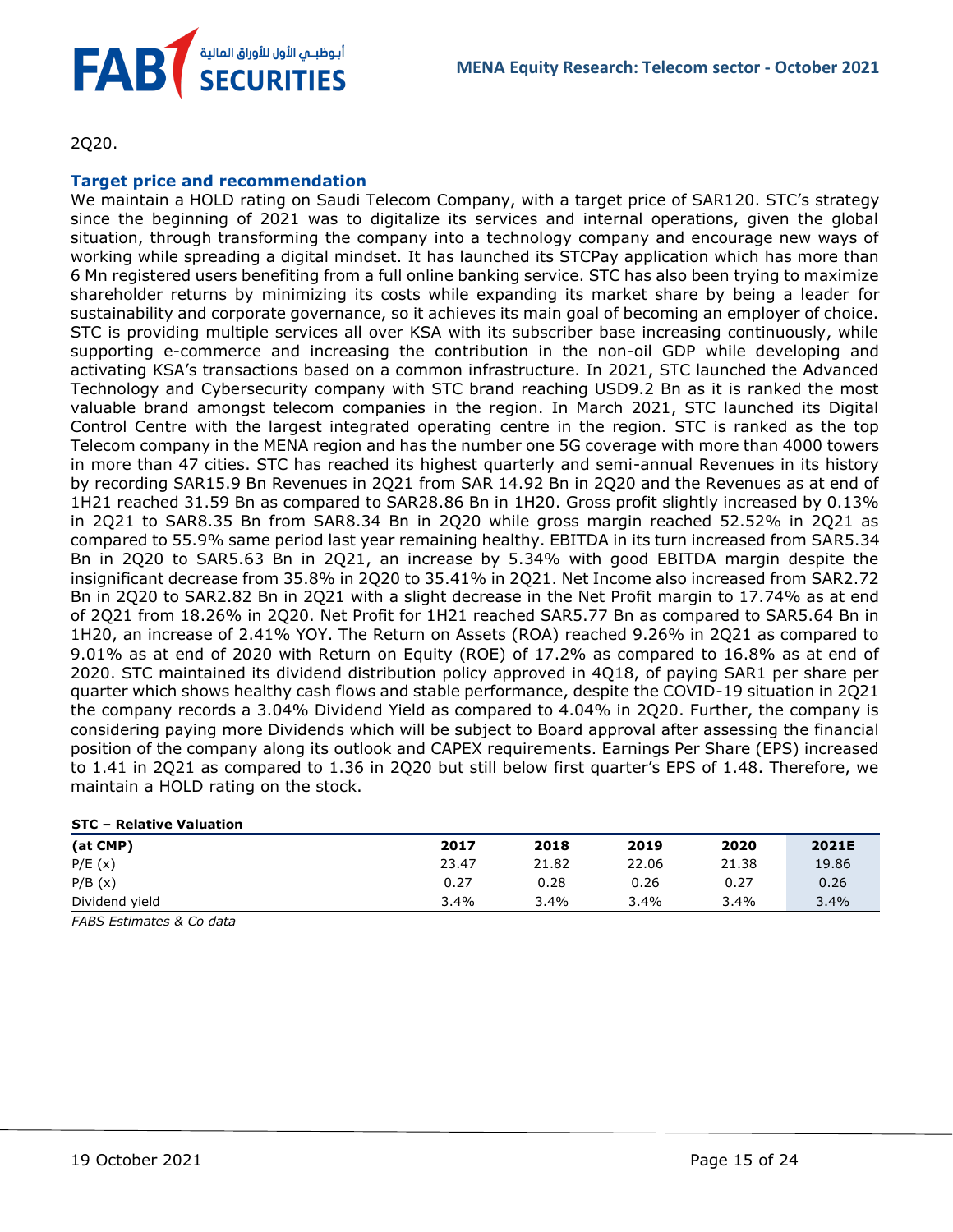

2Q20.

#### **Target price and recommendation**

We maintain a HOLD rating on Saudi Telecom Company, with a target price of SAR120. STC's strategy since the beginning of 2021 was to digitalize its services and internal operations, given the global situation, through transforming the company into a technology company and encourage new ways of working while spreading a digital mindset. It has launched its STCPay application which has more than 6 Mn registered users benefiting from a full online banking service. STC has also been trying to maximize shareholder returns by minimizing its costs while expanding its market share by being a leader for sustainability and corporate governance, so it achieves its main goal of becoming an employer of choice. STC is providing multiple services all over KSA with its subscriber base increasing continuously, while supporting e-commerce and increasing the contribution in the non-oil GDP while developing and activating KSA's transactions based on a common infrastructure. In 2021, STC launched the Advanced Technology and Cybersecurity company with STC brand reaching USD9.2 Bn as it is ranked the most valuable brand amongst telecom companies in the region. In March 2021, STC launched its Digital Control Centre with the largest integrated operating centre in the region. STC is ranked as the top Telecom company in the MENA region and has the number one 5G coverage with more than 4000 towers in more than 47 cities. STC has reached its highest quarterly and semi-annual Revenues in its history by recording SAR15.9 Bn Revenues in 2Q21 from SAR 14.92 Bn in 2Q20 and the Revenues as at end of 1H21 reached 31.59 Bn as compared to SAR28.86 Bn in 1H20. Gross profit slightly increased by 0.13% in 2Q21 to SAR8.35 Bn from SAR8.34 Bn in 2Q20 while gross margin reached 52.52% in 2Q21 as compared to 55.9% same period last year remaining healthy. EBITDA in its turn increased from SAR5.34 Bn in 2Q20 to SAR5.63 Bn in 2Q21, an increase by 5.34% with good EBITDA margin despite the insignificant decrease from 35.8% in 2Q20 to 35.41% in 2Q21. Net Income also increased from SAR2.72 Bn in 2Q20 to SAR2.82 Bn in 2Q21 with a slight decrease in the Net Profit margin to 17.74% as at end of 2Q21 from 18.26% in 2Q20. Net Profit for 1H21 reached SAR5.77 Bn as compared to SAR5.64 Bn in 1H20, an increase of 2.41% YOY. The Return on Assets (ROA) reached 9.26% in 2Q21 as compared to 9.01% as at end of 2020 with Return on Equity (ROE) of 17.2% as compared to 16.8% as at end of 2020. STC maintained its dividend distribution policy approved in 4Q18, of paying SAR1 per share per quarter which shows healthy cash flows and stable performance, despite the COVID-19 situation in 2Q21 the company records a 3.04% Dividend Yield as compared to 4.04% in 2Q20. Further, the company is considering paying more Dividends which will be subject to Board approval after assessing the financial position of the company along its outlook and CAPEX requirements. Earnings Per Share (EPS) increased to 1.41 in 2Q21 as compared to 1.36 in 2Q20 but still below first quarter's EPS of 1.48. Therefore, we maintain a HOLD rating on the stock.

#### **STC – Relative Valuation**

| (at CMP)       | 2017  | 2018  | 2019  | 2020  | 2021E |
|----------------|-------|-------|-------|-------|-------|
| P/E(x)         | 23.47 | 21.82 | 22.06 | 21.38 | 19.86 |
| P/B(x)         | 0.27  | 0.28  | 0.26  | 0.27  | 0.26  |
| Dividend yield | 3.4%  | 3.4%  | 3.4%  | 3.4%  | 3.4%  |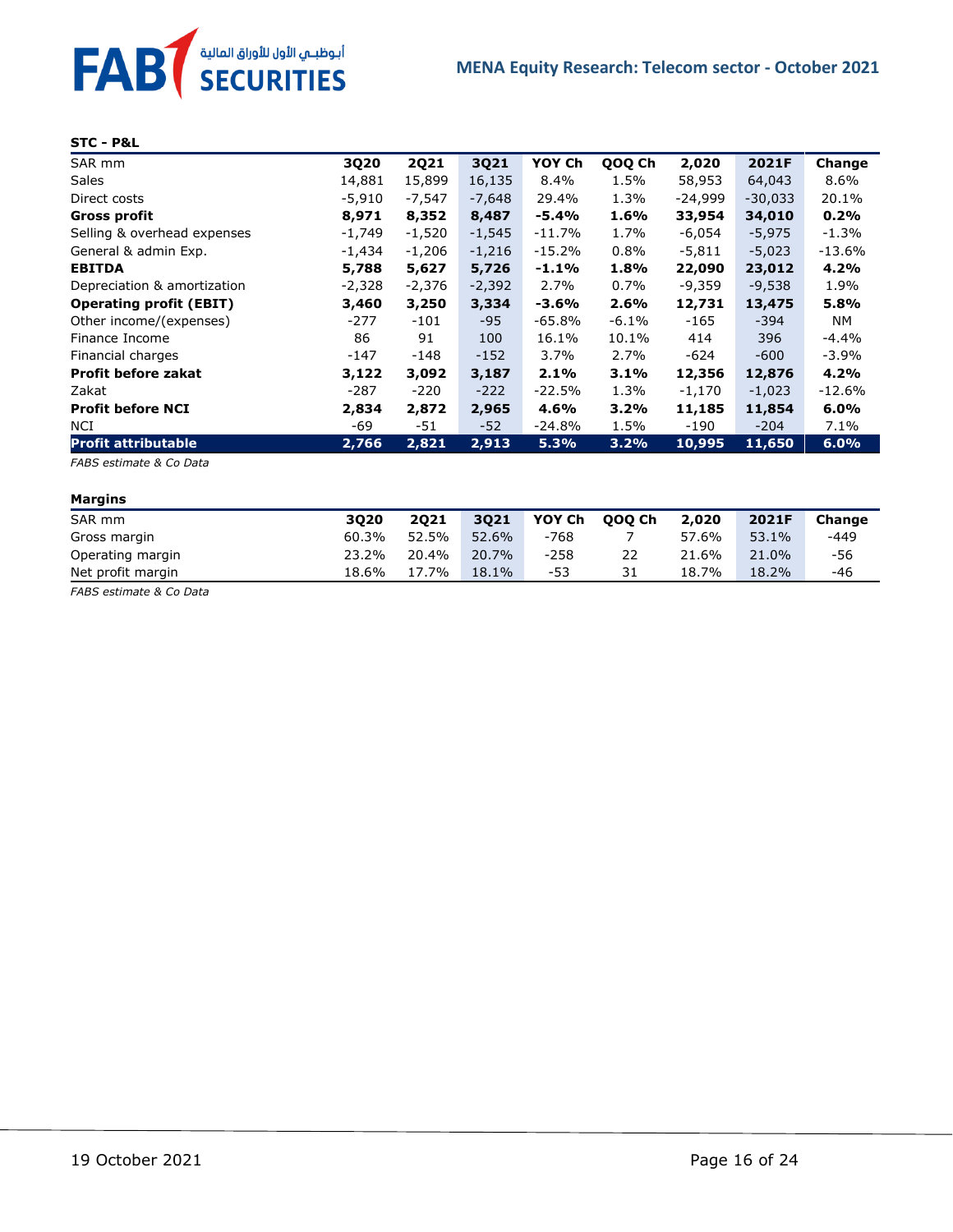

#### **STC - P&L**

| SAR mm                         | 3Q20     | <b>2Q21</b> | 3Q21     | YOY Ch   | QOQ Ch  | 2,020     | 2021F     | Change   |
|--------------------------------|----------|-------------|----------|----------|---------|-----------|-----------|----------|
| <b>Sales</b>                   | 14,881   | 15,899      | 16,135   | $8.4\%$  | 1.5%    | 58,953    | 64,043    | $8.6\%$  |
| Direct costs                   | $-5,910$ | $-7,547$    | $-7,648$ | 29.4%    | 1.3%    | $-24,999$ | $-30,033$ | 20.1%    |
| Gross profit                   | 8,971    | 8,352       | 8,487    | $-5.4%$  | 1.6%    | 33,954    | 34,010    | 0.2%     |
| Selling & overhead expenses    | -1,749   | $-1,520$    | $-1,545$ | $-11.7%$ | 1.7%    | -6,054    | $-5,975$  | -1.3%    |
| General & admin Exp.           | -1,434   | $-1,206$    | $-1,216$ | $-15.2%$ | $0.8\%$ | $-5,811$  | $-5,023$  | $-13.6%$ |
| <b>EBITDA</b>                  | 5,788    | 5,627       | 5,726    | $-1.1%$  | 1.8%    | 22,090    | 23,012    | 4.2%     |
| Depreciation & amortization    | $-2,328$ | $-2,376$    | $-2,392$ | 2.7%     | $0.7\%$ | $-9,359$  | $-9,538$  | 1.9%     |
| <b>Operating profit (EBIT)</b> | 3,460    | 3,250       | 3,334    | -3.6%    | 2.6%    | 12,731    | 13,475    | 5.8%     |
| Other income/(expenses)        | -277     | -101        | $-95$    | -65.8%   | -6.1%   | -165      | -394      | NM       |
| Finance Income                 | 86       | 91          | 100      | 16.1%    | 10.1%   | 414       | 396       | -4.4%    |
| Financial charges              | -147     | -148        | $-152$   | $3.7\%$  | 2.7%    | -624      | $-600$    | -3.9%    |
| <b>Profit before zakat</b>     | 3,122    | 3,092       | 3,187    | 2.1%     | $3.1\%$ | 12,356    | 12,876    | 4.2%     |
| Zakat                          | -287     | -220        | $-222$   | $-22.5%$ | 1.3%    | $-1,170$  | $-1,023$  | $-12.6%$ |
| <b>Profit before NCI</b>       | 2,834    | 2,872       | 2,965    | 4.6%     | 3.2%    | 11,185    | 11,854    | $6.0\%$  |
| NCI                            | -69      | -51         | $-52$    | -24.8%   | 1.5%    | $-190$    | $-204$    | $7.1\%$  |
| <b>Profit attributable</b>     | 2,766    | 2,821       | 2,913    | 5.3%     | 3.2%    | 10,995    | 11,650    | 6.0%     |

*FABS estimate & Co Data*

#### **Margins**

| -                 |       |       |          |        |        |       |       |        |
|-------------------|-------|-------|----------|--------|--------|-------|-------|--------|
| SAR mm            | 3020  | 2021  | 3021     | YOY Ch | 000 Ch | 2,020 | 2021F | Change |
| Gross margin      | 60.3% | 52.5% | 52.6%    | -768   |        | 57.6% | 53.1% | -449   |
| Operating margin  | 23.2% | 20.4% | 20.7%    | $-258$ | 22     | 21.6% | 21.0% | -56    |
| Net profit margin | 18.6% | 17.7% | $18.1\%$ | -53    | 31     | 18.7% | 18.2% | -46    |
|                   |       |       |          |        |        |       |       |        |

*FABS estimate & Co Data*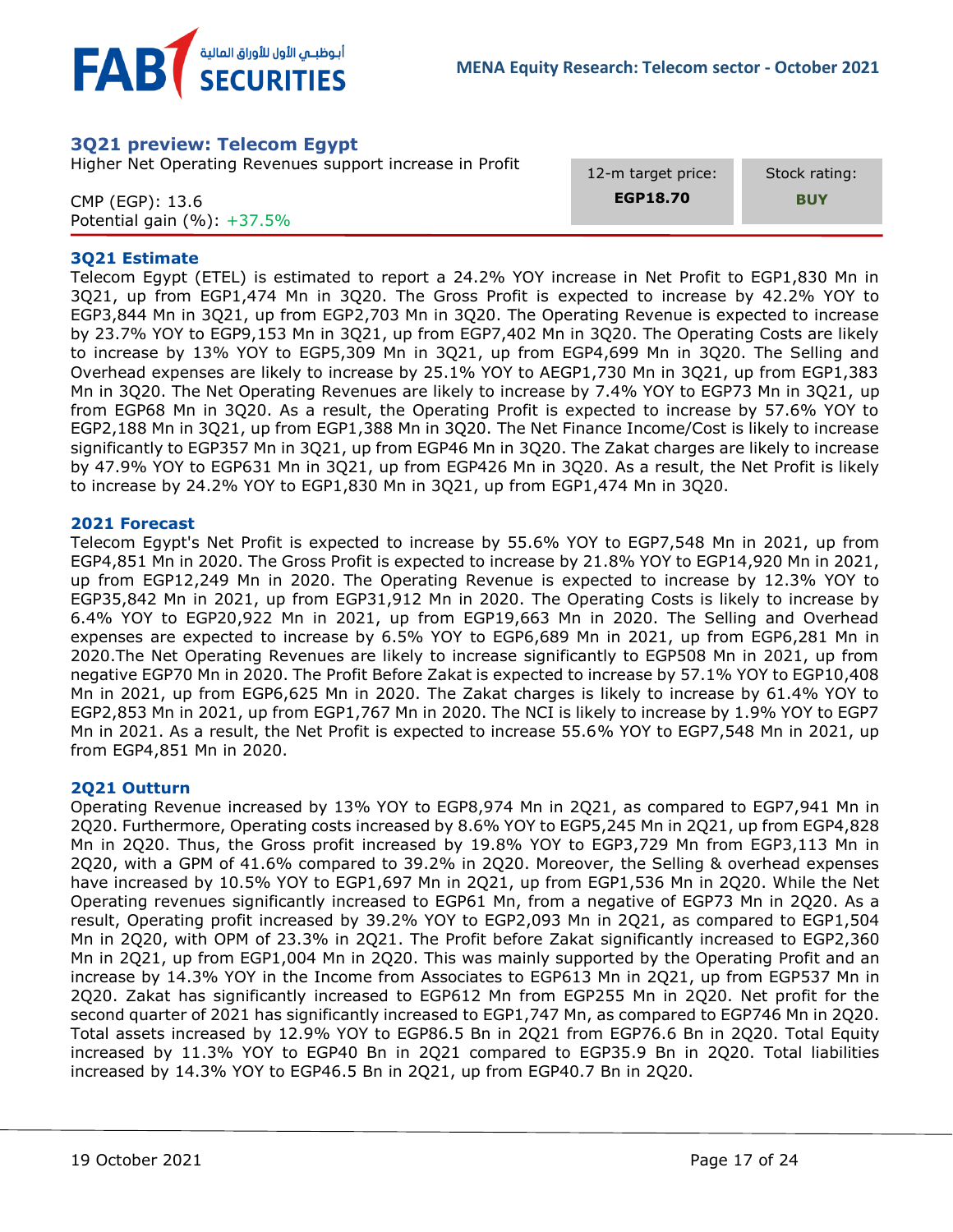

# <span id="page-16-0"></span>**3Q21 preview: Telecom Egypt**

Higher Net Operating Revenues support increase in Profit

CMP (EGP): 13.6 Potential gain (%): +37.5% 12-m target price: **EGP18.70**

Stock rating:

**BUY**

#### **3Q21 Estimate**

Telecom Egypt (ETEL) is estimated to report a 24.2% YOY increase in Net Profit to EGP1,830 Mn in 3Q21, up from EGP1,474 Mn in 3Q20. The Gross Profit is expected to increase by 42.2% YOY to EGP3,844 Mn in 3Q21, up from EGP2,703 Mn in 3Q20. The Operating Revenue is expected to increase by 23.7% YOY to EGP9,153 Mn in 3Q21, up from EGP7,402 Mn in 3Q20. The Operating Costs are likely to increase by 13% YOY to EGP5,309 Mn in 3Q21, up from EGP4,699 Mn in 3Q20. The Selling and Overhead expenses are likely to increase by 25.1% YOY to AEGP1,730 Mn in 3Q21, up from EGP1,383 Mn in 3Q20. The Net Operating Revenues are likely to increase by 7.4% YOY to EGP73 Mn in 3Q21, up from EGP68 Mn in 3Q20. As a result, the Operating Profit is expected to increase by 57.6% YOY to EGP2,188 Mn in 3Q21, up from EGP1,388 Mn in 3Q20. The Net Finance Income/Cost is likely to increase significantly to EGP357 Mn in 3Q21, up from EGP46 Mn in 3Q20. The Zakat charges are likely to increase by 47.9% YOY to EGP631 Mn in 3Q21, up from EGP426 Mn in 3Q20. As a result, the Net Profit is likely to increase by 24.2% YOY to EGP1,830 Mn in 3Q21, up from EGP1,474 Mn in 3Q20.

#### **2021 Forecast**

Telecom Egypt's Net Profit is expected to increase by 55.6% YOY to EGP7,548 Mn in 2021, up from EGP4,851 Mn in 2020. The Gross Profit is expected to increase by 21.8% YOY to EGP14,920 Mn in 2021, up from EGP12,249 Mn in 2020. The Operating Revenue is expected to increase by 12.3% YOY to EGP35,842 Mn in 2021, up from EGP31,912 Mn in 2020. The Operating Costs is likely to increase by 6.4% YOY to EGP20,922 Mn in 2021, up from EGP19,663 Mn in 2020. The Selling and Overhead expenses are expected to increase by 6.5% YOY to EGP6,689 Mn in 2021, up from EGP6,281 Mn in 2020.The Net Operating Revenues are likely to increase significantly to EGP508 Mn in 2021, up from negative EGP70 Mn in 2020. The Profit Before Zakat is expected to increase by 57.1% YOY to EGP10,408 Mn in 2021, up from EGP6,625 Mn in 2020. The Zakat charges is likely to increase by 61.4% YOY to EGP2,853 Mn in 2021, up from EGP1,767 Mn in 2020. The NCI is likely to increase by 1.9% YOY to EGP7 Mn in 2021. As a result, the Net Profit is expected to increase 55.6% YOY to EGP7,548 Mn in 2021, up from EGP4,851 Mn in 2020.

#### **2Q21 Outturn**

Operating Revenue increased by 13% YOY to EGP8,974 Mn in 2Q21, as compared to EGP7,941 Mn in 2Q20. Furthermore, Operating costs increased by 8.6% YOY to EGP5,245 Mn in 2Q21, up from EGP4,828 Mn in 2Q20. Thus, the Gross profit increased by 19.8% YOY to EGP3,729 Mn from EGP3,113 Mn in 2Q20, with a GPM of 41.6% compared to 39.2% in 2Q20. Moreover, the Selling & overhead expenses have increased by 10.5% YOY to EGP1,697 Mn in 2Q21, up from EGP1,536 Mn in 2Q20. While the Net Operating revenues significantly increased to EGP61 Mn, from a negative of EGP73 Mn in 2Q20. As a result, Operating profit increased by 39.2% YOY to EGP2,093 Mn in 2Q21, as compared to EGP1,504 Mn in 2Q20, with OPM of 23.3% in 2Q21. The Profit before Zakat significantly increased to EGP2,360 Mn in 2Q21, up from EGP1,004 Mn in 2Q20. This was mainly supported by the Operating Profit and an increase by 14.3% YOY in the Income from Associates to EGP613 Mn in 2Q21, up from EGP537 Mn in 2Q20. Zakat has significantly increased to EGP612 Mn from EGP255 Mn in 2Q20. Net profit for the second quarter of 2021 has significantly increased to EGP1,747 Mn, as compared to EGP746 Mn in 2Q20. Total assets increased by 12.9% YOY to EGP86.5 Bn in 2Q21 from EGP76.6 Bn in 2Q20. Total Equity increased by 11.3% YOY to EGP40 Bn in 2Q21 compared to EGP35.9 Bn in 2Q20. Total liabilities increased by 14.3% YOY to EGP46.5 Bn in 2Q21, up from EGP40.7 Bn in 2Q20.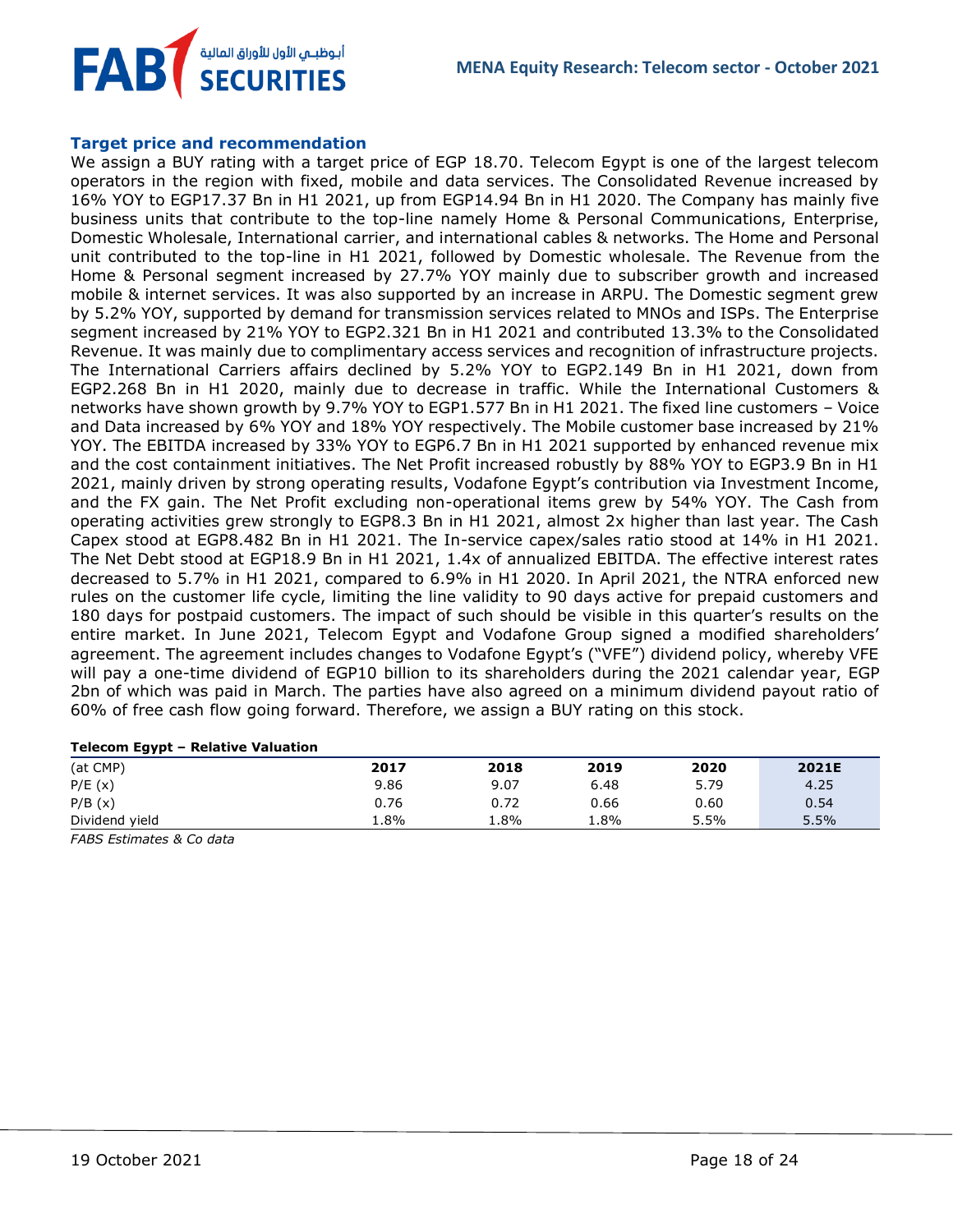**MENA Equity Research: Telecom sector - October 2021**

# **FAB** أبوظبـي الأول للأوراق المالية<br>SECURITIES

### **Target price and recommendation**

We assign a BUY rating with a target price of EGP 18.70. Telecom Egypt is one of the largest telecom operators in the region with fixed, mobile and data services. The Consolidated Revenue increased by 16% YOY to EGP17.37 Bn in H1 2021, up from EGP14.94 Bn in H1 2020. The Company has mainly five business units that contribute to the top-line namely Home & Personal Communications, Enterprise, Domestic Wholesale, International carrier, and international cables & networks. The Home and Personal unit contributed to the top-line in H1 2021, followed by Domestic wholesale. The Revenue from the Home & Personal segment increased by 27.7% YOY mainly due to subscriber growth and increased mobile & internet services. It was also supported by an increase in ARPU. The Domestic segment grew by 5.2% YOY, supported by demand for transmission services related to MNOs and ISPs. The Enterprise segment increased by 21% YOY to EGP2.321 Bn in H1 2021 and contributed 13.3% to the Consolidated Revenue. It was mainly due to complimentary access services and recognition of infrastructure projects. The International Carriers affairs declined by 5.2% YOY to EGP2.149 Bn in H1 2021, down from EGP2.268 Bn in H1 2020, mainly due to decrease in traffic. While the International Customers & networks have shown growth by 9.7% YOY to EGP1.577 Bn in H1 2021. The fixed line customers – Voice and Data increased by 6% YOY and 18% YOY respectively. The Mobile customer base increased by 21% YOY. The EBITDA increased by 33% YOY to EGP6.7 Bn in H1 2021 supported by enhanced revenue mix and the cost containment initiatives. The Net Profit increased robustly by 88% YOY to EGP3.9 Bn in H1 2021, mainly driven by strong operating results, Vodafone Egypt's contribution via Investment Income, and the FX gain. The Net Profit excluding non-operational items grew by 54% YOY. The Cash from operating activities grew strongly to EGP8.3 Bn in H1 2021, almost 2x higher than last year. The Cash Capex stood at EGP8.482 Bn in H1 2021. The In-service capex/sales ratio stood at 14% in H1 2021. The Net Debt stood at EGP18.9 Bn in H1 2021, 1.4x of annualized EBITDA. The effective interest rates decreased to 5.7% in H1 2021, compared to 6.9% in H1 2020. In April 2021, the NTRA enforced new rules on the customer life cycle, limiting the line validity to 90 days active for prepaid customers and 180 days for postpaid customers. The impact of such should be visible in this quarter's results on the entire market. In June 2021, Telecom Egypt and Vodafone Group signed a modified shareholders' agreement. The agreement includes changes to Vodafone Egypt's ("VFE") dividend policy, whereby VFE will pay a one-time dividend of EGP10 billion to its shareholders during the 2021 calendar year, EGP 2bn of which was paid in March. The parties have also agreed on a minimum dividend payout ratio of 60% of free cash flow going forward. Therefore, we assign a BUY rating on this stock.

#### **Telecom Egypt – Relative Valuation**

| ---            |      |      |         |      |       |
|----------------|------|------|---------|------|-------|
| (at CMP)       | 2017 | 2018 | 2019    | 2020 | 2021E |
| P/E(x)         | 9.86 | 9.07 | 6.48    | 5.79 | 4.25  |
| P/B(x)         | 0.76 | 0.72 | 0.66    | 0.60 | 0.54  |
| Dividend yield | 1.8% | 1.8% | $1.8\%$ | 5.5% | 5.5%  |
|                |      |      |         |      |       |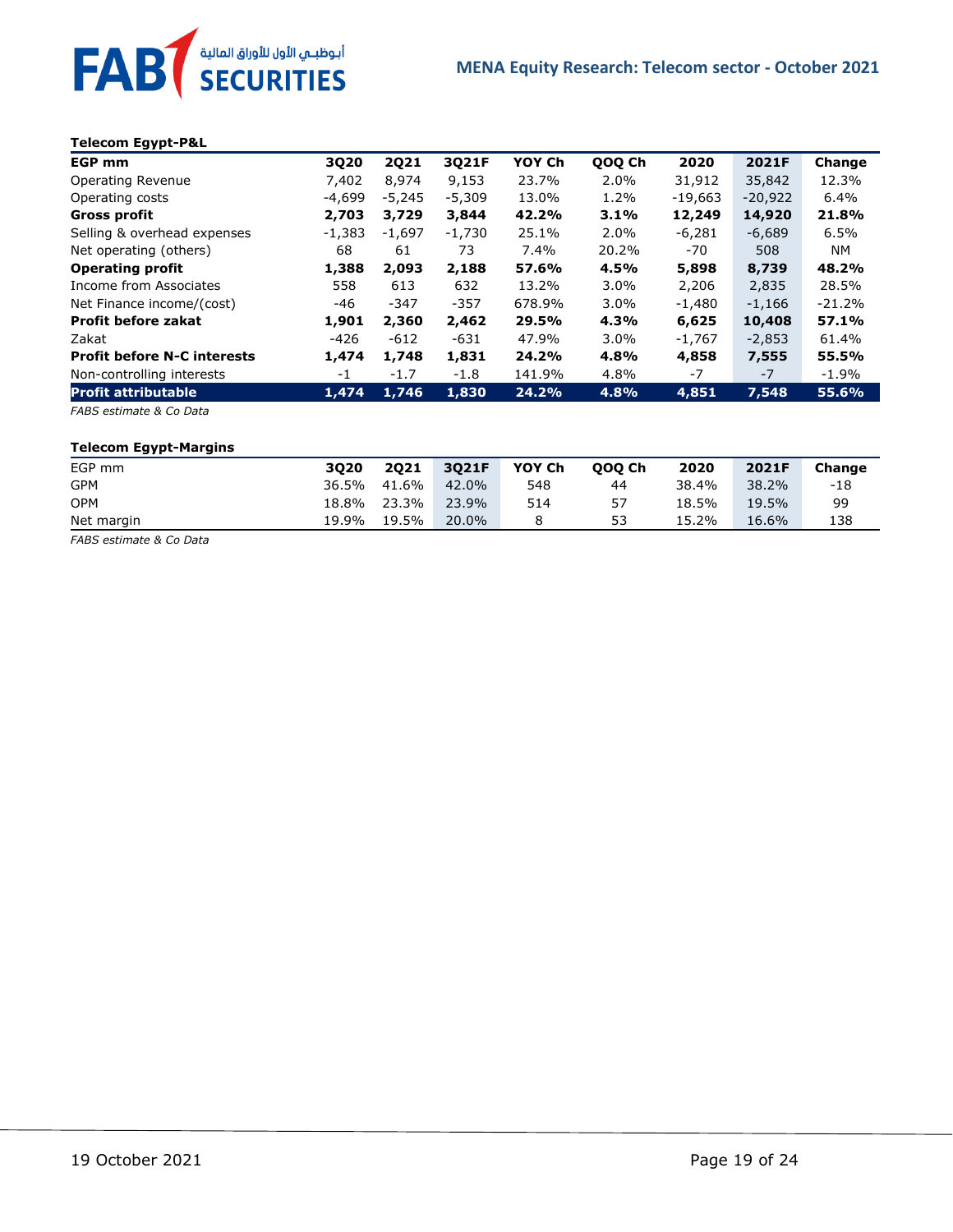

#### **Telecom Egypt-P&L**

| <b>EGP mm</b>                      | 3Q20     | <b>2Q21</b> | 3Q21F    | YOY Ch | QOQ Ch  | 2020      | 2021F     | Change   |
|------------------------------------|----------|-------------|----------|--------|---------|-----------|-----------|----------|
| Operating Revenue                  | 7,402    | 8,974       | 9,153    | 23.7%  | 2.0%    | 31,912    | 35,842    | 12.3%    |
| Operating costs                    | -4,699   | $-5,245$    | $-5,309$ | 13.0%  | 1.2%    | $-19,663$ | $-20,922$ | 6.4%     |
| Gross profit                       | 2,703    | 3,729       | 3,844    | 42.2%  | 3.1%    | 12,249    | 14,920    | 21.8%    |
| Selling & overhead expenses        | $-1,383$ | $-1,697$    | $-1,730$ | 25.1%  | 2.0%    | $-6,281$  | $-6,689$  | 6.5%     |
| Net operating (others)             | 68       | 61          | 73       | 7.4%   | 20.2%   | -70       | 508       | NM.      |
| <b>Operating profit</b>            | 1,388    | 2,093       | 2,188    | 57.6%  | 4.5%    | 5,898     | 8,739     | 48.2%    |
| Income from Associates             | 558      | 613         | 632      | 13.2%  | $3.0\%$ | 2,206     | 2,835     | 28.5%    |
| Net Finance income/(cost)          | $-46$    | $-347$      | $-357$   | 678.9% | $3.0\%$ | $-1,480$  | $-1,166$  | $-21.2%$ |
| <b>Profit before zakat</b>         | 1,901    | 2,360       | 2,462    | 29.5%  | 4.3%    | 6,625     | 10,408    | 57.1%    |
| Zakat                              | -426     | -612        | -631     | 47.9%  | $3.0\%$ | $-1,767$  | $-2,853$  | 61.4%    |
| <b>Profit before N-C interests</b> | 1,474    | 1,748       | 1,831    | 24.2%  | 4.8%    | 4,858     | 7,555     | 55.5%    |
| Non-controlling interests          | -1       | $-1.7$      | $-1.8$   | 141.9% | 4.8%    | $-7$      | $-7$      | $-1.9\%$ |
| <b>Profit attributable</b>         | 1,474    | 1,746       | 1,830    | 24.2%  | 4.8%    | 4,851     | 7,548     | 55.6%    |

*FABS estimate & Co Data*

#### **Telecom Egypt-Margins**

| EGP mm     | 3020        | 2021  | 3021F | YOY Ch | 000 Ch | 2020  | 2021F | Change |
|------------|-------------|-------|-------|--------|--------|-------|-------|--------|
| <b>GPM</b> | 36.5% 41.6% |       | 42.0% | 548    | 44     | 38.4% | 38.2% | -18    |
| <b>OPM</b> | 18.8%       | 23.3% | 23.9% | 514    | 57     | 18.5% | 19.5% | 99     |
| Net margin | 19.9%       | 19.5% | 20.0% |        | 53     | 15.2% | 16.6% | 138    |

*FABS estimate & Co Data*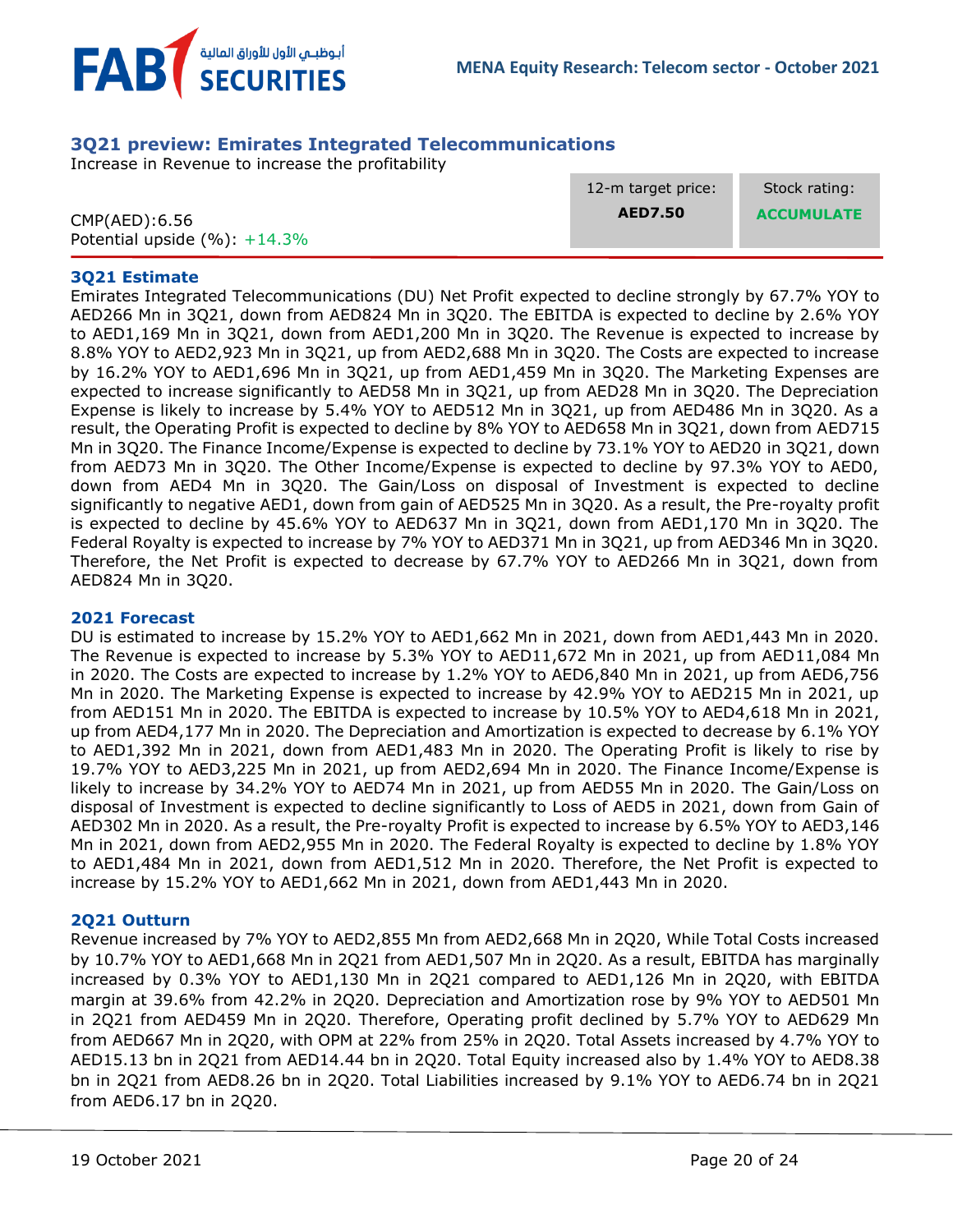

### <span id="page-19-0"></span>**3Q21 preview: Emirates Integrated Telecommunications**

Increase in Revenue to increase the profitability

|                                  | 12-m target price: | Stock rating:     |
|----------------------------------|--------------------|-------------------|
| CMP(AED): 6.56                   | <b>AED7.50</b>     | <b>ACCUMULATE</b> |
| Potential upside $(\%): +14.3\%$ |                    |                   |

#### **3Q21 Estimate**

Emirates Integrated Telecommunications (DU) Net Profit expected to decline strongly by 67.7% YOY to AED266 Mn in 3Q21, down from AED824 Mn in 3Q20. The EBITDA is expected to decline by 2.6% YOY to AED1,169 Mn in 3Q21, down from AED1,200 Mn in 3Q20. The Revenue is expected to increase by 8.8% YOY to AED2,923 Mn in 3Q21, up from AED2,688 Mn in 3Q20. The Costs are expected to increase by 16.2% YOY to AED1,696 Mn in 3Q21, up from AED1,459 Mn in 3Q20. The Marketing Expenses are expected to increase significantly to AED58 Mn in 3Q21, up from AED28 Mn in 3Q20. The Depreciation Expense is likely to increase by 5.4% YOY to AED512 Mn in 3Q21, up from AED486 Mn in 3Q20. As a result, the Operating Profit is expected to decline by 8% YOY to AED658 Mn in 3Q21, down from AED715 Mn in 3Q20. The Finance Income/Expense is expected to decline by 73.1% YOY to AED20 in 3Q21, down from AED73 Mn in 3Q20. The Other Income/Expense is expected to decline by 97.3% YOY to AED0, down from AED4 Mn in 3Q20. The Gain/Loss on disposal of Investment is expected to decline significantly to negative AED1, down from gain of AED525 Mn in 3Q20. As a result, the Pre-royalty profit is expected to decline by 45.6% YOY to AED637 Mn in 3Q21, down from AED1,170 Mn in 3Q20. The Federal Royalty is expected to increase by 7% YOY to AED371 Mn in 3Q21, up from AED346 Mn in 3Q20. Therefore, the Net Profit is expected to decrease by 67.7% YOY to AED266 Mn in 3Q21, down from AED824 Mn in 3Q20.

#### **2021 Forecast**

DU is estimated to increase by 15.2% YOY to AED1,662 Mn in 2021, down from AED1,443 Mn in 2020. The Revenue is expected to increase by 5.3% YOY to AED11,672 Mn in 2021, up from AED11,084 Mn in 2020. The Costs are expected to increase by 1.2% YOY to AED6,840 Mn in 2021, up from AED6,756 Mn in 2020. The Marketing Expense is expected to increase by 42.9% YOY to AED215 Mn in 2021, up from AED151 Mn in 2020. The EBITDA is expected to increase by 10.5% YOY to AED4,618 Mn in 2021, up from AED4,177 Mn in 2020. The Depreciation and Amortization is expected to decrease by 6.1% YOY to AED1,392 Mn in 2021, down from AED1,483 Mn in 2020. The Operating Profit is likely to rise by 19.7% YOY to AED3,225 Mn in 2021, up from AED2,694 Mn in 2020. The Finance Income/Expense is likely to increase by 34.2% YOY to AED74 Mn in 2021, up from AED55 Mn in 2020. The Gain/Loss on disposal of Investment is expected to decline significantly to Loss of AED5 in 2021, down from Gain of AED302 Mn in 2020. As a result, the Pre-royalty Profit is expected to increase by 6.5% YOY to AED3,146 Mn in 2021, down from AED2,955 Mn in 2020. The Federal Royalty is expected to decline by 1.8% YOY to AED1,484 Mn in 2021, down from AED1,512 Mn in 2020. Therefore, the Net Profit is expected to increase by 15.2% YOY to AED1,662 Mn in 2021, down from AED1,443 Mn in 2020.

#### **2Q21 Outturn**

Revenue increased by 7% YOY to AED2,855 Mn from AED2,668 Mn in 2Q20, While Total Costs increased by 10.7% YOY to AED1,668 Mn in 2Q21 from AED1,507 Mn in 2Q20. As a result, EBITDA has marginally increased by 0.3% YOY to AED1,130 Mn in 2Q21 compared to AED1,126 Mn in 2Q20, with EBITDA margin at 39.6% from 42.2% in 2Q20. Depreciation and Amortization rose by 9% YOY to AED501 Mn in 2Q21 from AED459 Mn in 2Q20. Therefore, Operating profit declined by 5.7% YOY to AED629 Mn from AED667 Mn in 2Q20, with OPM at 22% from 25% in 2Q20. Total Assets increased by 4.7% YOY to AED15.13 bn in 2Q21 from AED14.44 bn in 2Q20. Total Equity increased also by 1.4% YOY to AED8.38 bn in 2Q21 from AED8.26 bn in 2Q20. Total Liabilities increased by 9.1% YOY to AED6.74 bn in 2Q21 from AED6.17 bn in 2Q20.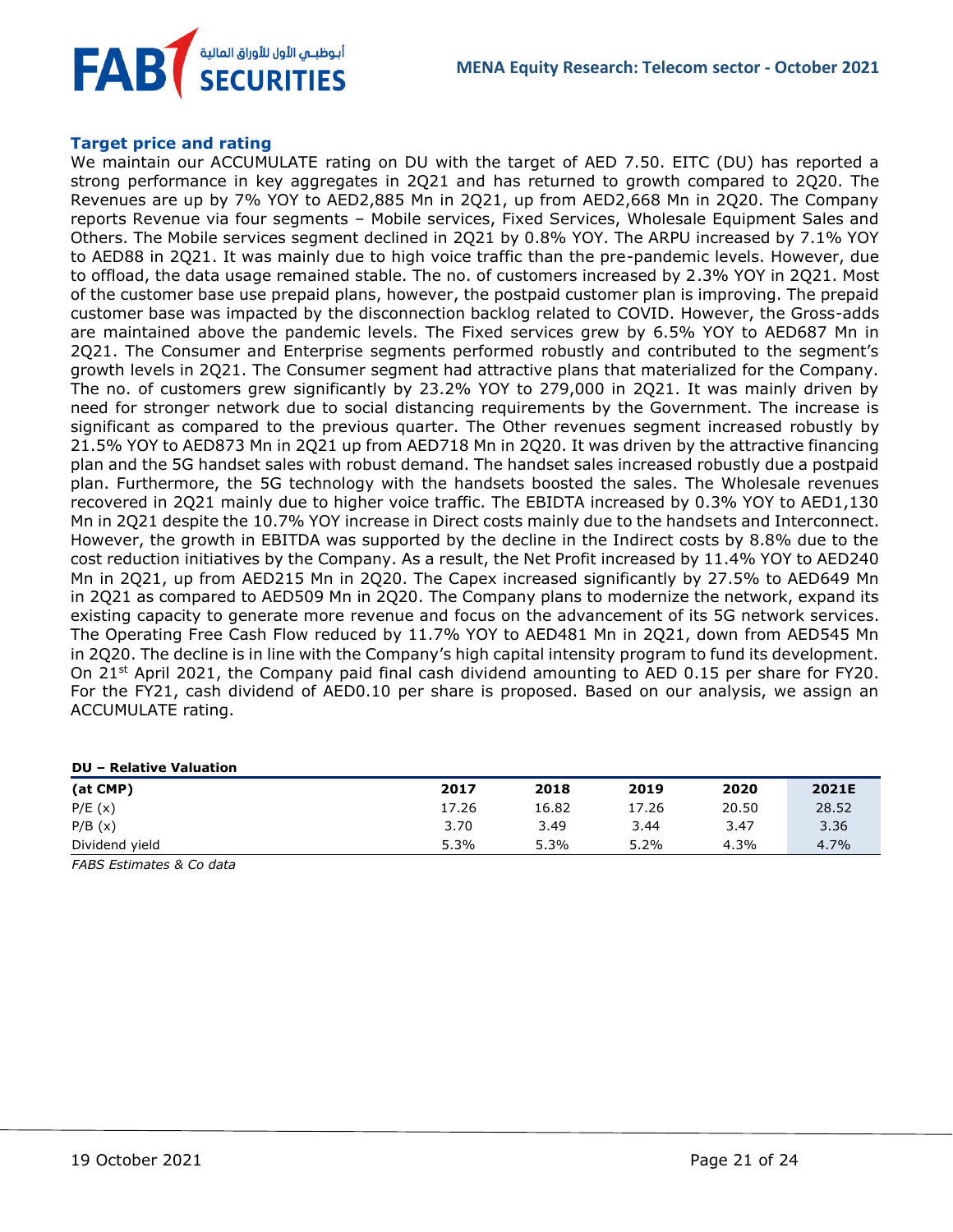

#### **Target price and rating**

We maintain our ACCUMULATE rating on DU with the target of AED 7.50. EITC (DU) has reported a strong performance in key aggregates in 2Q21 and has returned to growth compared to 2Q20. The Revenues are up by 7% YOY to AED2,885 Mn in 2Q21, up from AED2,668 Mn in 2Q20. The Company reports Revenue via four segments – Mobile services, Fixed Services, Wholesale Equipment Sales and Others. The Mobile services segment declined in 2Q21 by 0.8% YOY. The ARPU increased by 7.1% YOY to AED88 in 2Q21. It was mainly due to high voice traffic than the pre-pandemic levels. However, due to offload, the data usage remained stable. The no. of customers increased by 2.3% YOY in 2Q21. Most of the customer base use prepaid plans, however, the postpaid customer plan is improving. The prepaid customer base was impacted by the disconnection backlog related to COVID. However, the Gross-adds are maintained above the pandemic levels. The Fixed services grew by 6.5% YOY to AED687 Mn in 2Q21. The Consumer and Enterprise segments performed robustly and contributed to the segment's growth levels in 2Q21. The Consumer segment had attractive plans that materialized for the Company. The no. of customers grew significantly by 23.2% YOY to 279,000 in 2Q21. It was mainly driven by need for stronger network due to social distancing requirements by the Government. The increase is significant as compared to the previous quarter. The Other revenues segment increased robustly by 21.5% YOY to AED873 Mn in 2Q21 up from AED718 Mn in 2Q20. It was driven by the attractive financing plan and the 5G handset sales with robust demand. The handset sales increased robustly due a postpaid plan. Furthermore, the 5G technology with the handsets boosted the sales. The Wholesale revenues recovered in 2Q21 mainly due to higher voice traffic. The EBIDTA increased by 0.3% YOY to AED1,130 Mn in 2Q21 despite the 10.7% YOY increase in Direct costs mainly due to the handsets and Interconnect. However, the growth in EBITDA was supported by the decline in the Indirect costs by 8.8% due to the cost reduction initiatives by the Company. As a result, the Net Profit increased by 11.4% YOY to AED240 Mn in 2Q21, up from AED215 Mn in 2Q20. The Capex increased significantly by 27.5% to AED649 Mn in 2Q21 as compared to AED509 Mn in 2Q20. The Company plans to modernize the network, expand its existing capacity to generate more revenue and focus on the advancement of its 5G network services. The Operating Free Cash Flow reduced by 11.7% YOY to AED481 Mn in 2Q21, down from AED545 Mn in 2Q20. The decline is in line with the Company's high capital intensity program to fund its development. On 21<sup>st</sup> April 2021, the Company paid final cash dividend amounting to AED 0.15 per share for FY20. For the FY21, cash dividend of AED0.10 per share is proposed. Based on our analysis, we assign an ACCUMULATE rating.

| <b>DU</b> – Relative Valuation |       |       |       |       |       |
|--------------------------------|-------|-------|-------|-------|-------|
| (at CMP)                       | 2017  | 2018  | 2019  | 2020  | 2021E |
| P/E(x)                         | 17.26 | 16.82 | 17.26 | 20.50 | 28.52 |
| P/B(x)                         | 3.70  | 3.49  | 3.44  | 3.47  | 3.36  |
| Dividend yield                 | 5.3%  | 5.3%  | 5.2%  | 4.3%  | 4.7%  |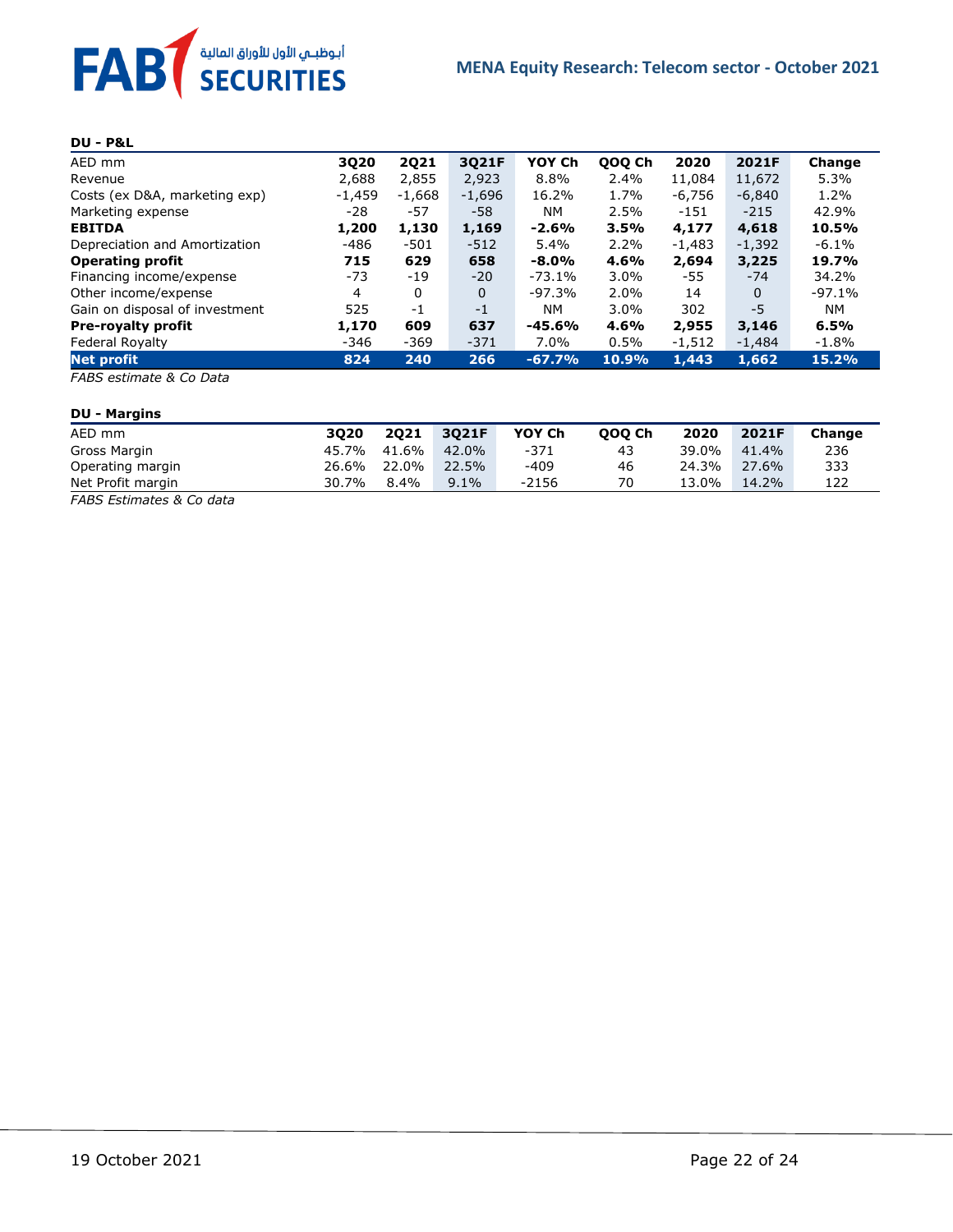

#### **DU - P&L**

| AED mm                         | 3Q20     | <b>2Q21</b> | 3Q21F    | YOY Ch    | QOQ Ch  | 2020     | 2021F    | Change   |
|--------------------------------|----------|-------------|----------|-----------|---------|----------|----------|----------|
| Revenue                        | 2,688    | 2,855       | 2,923    | 8.8%      | 2.4%    | 11,084   | 11,672   | 5.3%     |
| Costs (ex D&A, marketing exp)  | $-1,459$ | $-1,668$    | $-1,696$ | 16.2%     | 1.7%    | -6,756   | $-6,840$ | 1.2%     |
| Marketing expense              | -28      | -57         | -58      | <b>NM</b> | 2.5%    | $-151$   | $-215$   | 42.9%    |
| <b>EBITDA</b>                  | 1,200    | 1,130       | 1,169    | $-2.6%$   | 3.5%    | 4,177    | 4,618    | 10.5%    |
| Depreciation and Amortization  | $-486$   | $-501$      | $-512$   | 5.4%      | 2.2%    | $-1,483$ | $-1,392$ | $-6.1\%$ |
| <b>Operating profit</b>        | 715      | 629         | 658      | $-8.0%$   | 4.6%    | 2,694    | 3,225    | 19.7%    |
| Financing income/expense       | -73      | -19         | $-20$    | $-73.1%$  | $3.0\%$ | -55      | $-74$    | 34.2%    |
| Other income/expense           | 4        | 0           | 0        | $-97.3%$  | 2.0%    | 14       | 0        | $-97.1%$ |
| Gain on disposal of investment | 525      | $-1$        | $-1$     | <b>NM</b> | $3.0\%$ | 302      | -5       | NM.      |
| <b>Pre-royalty profit</b>      | 1,170    | 609         | 637      | $-45.6%$  | 4.6%    | 2,955    | 3,146    | 6.5%     |
| Federal Royalty                | $-346$   | $-369$      | $-371$   | 7.0%      | 0.5%    | $-1,512$ | -1,484   | $-1.8%$  |
| Net profit                     | 824      | 240         | 266      | $-67.7%$  | 10.9%   | 1,443    | 1,662    | 15.2%    |

*FABS estimate & Co Data*

#### **DU - Margins**

| AED mm            | 3020  | 2021  | 3021F   | YOY Ch | 000 Ch | 2020  | 2021F | Change |
|-------------------|-------|-------|---------|--------|--------|-------|-------|--------|
| Gross Margin      | 45.7% | 41.6% | 42.0%   | $-371$ | 43     | 39.0% | 41.4% | 236    |
| Operating margin  | 26.6% | 22.0% | 22.5%   | -409   | 46     | 24.3% | 27.6% | 333    |
| Net Profit margin | 30.7% | 8.4%  | $9.1\%$ | -2156  | 70     | 13.0% | 14.2% | 122    |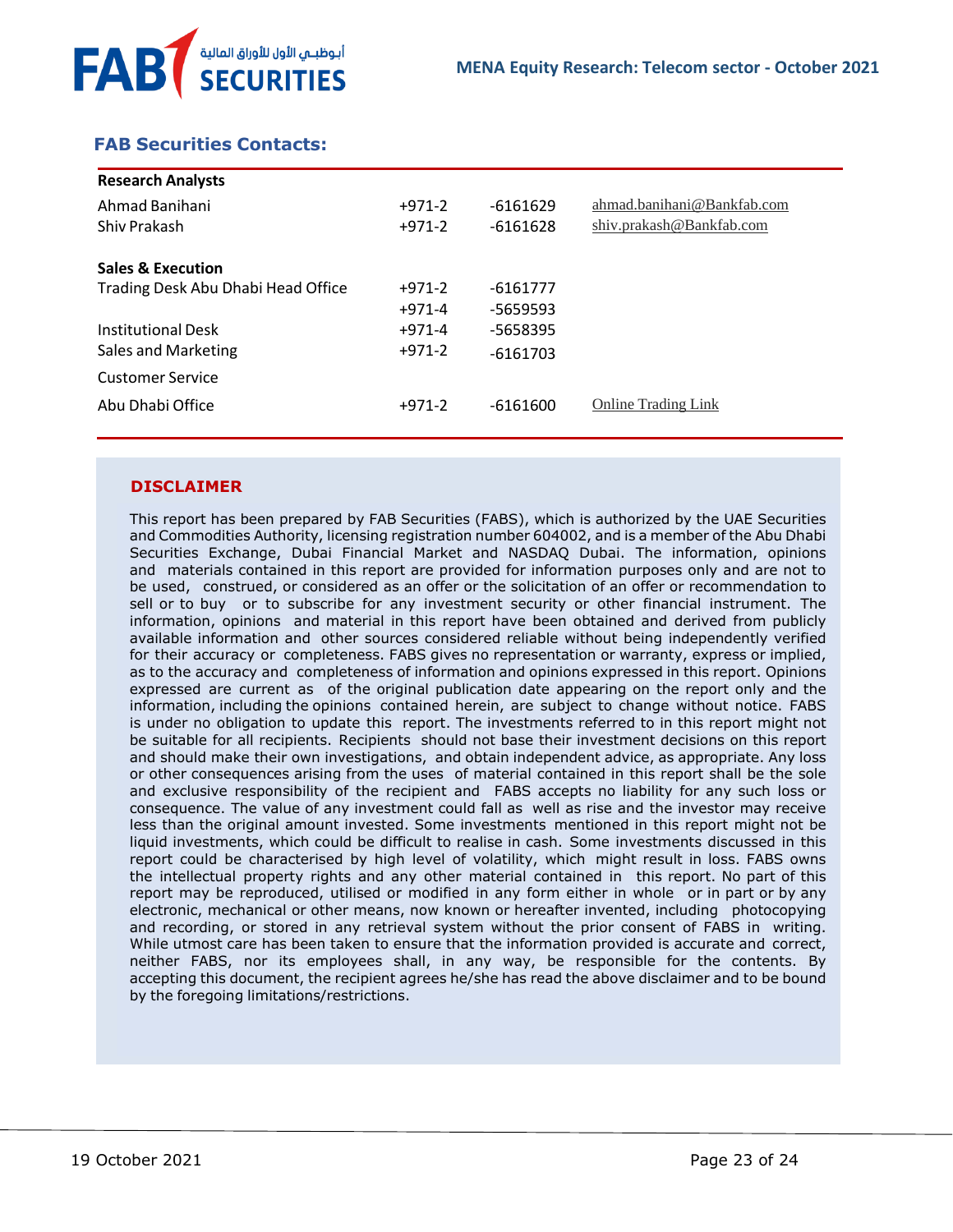

# <span id="page-22-0"></span> **FAB Securities Contacts:**

| <b>Research Analysts</b>           |          |            |                            |
|------------------------------------|----------|------------|----------------------------|
| Ahmad Banihani                     | $+971-2$ | $-6161629$ | ahmad.banihani@Bankfab.com |
| Shiv Prakash                       | $+971-2$ | $-6161628$ | shiv.prakash@Bankfab.com   |
| <b>Sales &amp; Execution</b>       |          |            |                            |
| Trading Desk Abu Dhabi Head Office | $+971-2$ | $-6161777$ |                            |
|                                    | $+971-4$ | -5659593   |                            |
| Institutional Desk                 | $+971-4$ | -5658395   |                            |
| Sales and Marketing                | $+971-2$ | $-6161703$ |                            |
| Customer Service                   |          |            |                            |
| Abu Dhabi Office                   | $+971-2$ | $-6161600$ | <b>Online Trading Link</b> |
|                                    |          |            |                            |

#### **DISCLAIMER**

This report has been prepared by FAB Securities (FABS), which is authorized by the UAE Securities and Commodities Authority, licensing registration number 604002, and is a member of the Abu Dhabi Securities Exchange, Dubai Financial Market and NASDAQ Dubai. The information, opinions and materials contained in this report are provided for information purposes only and are not to be used, construed, or considered as an offer or the solicitation of an offer or recommendation to sell or to buy or to subscribe for any investment security or other financial instrument. The information, opinions and material in this report have been obtained and derived from publicly available information and other sources considered reliable without being independently verified for their accuracy or completeness. FABS gives no representation or warranty, express or implied, as to the accuracy and completeness of information and opinions expressed in this report. Opinions expressed are current as of the original publication date appearing on the report only and the information, including the opinions contained herein, are subject to change without notice. FABS is under no obligation to update this report. The investments referred to in this report might not be suitable for all recipients. Recipients should not base their investment decisions on this report and should make their own investigations, and obtain independent advice, as appropriate. Any loss or other consequences arising from the uses of material contained in this report shall be the sole and exclusive responsibility of the recipient and FABS accepts no liability for any such loss or consequence. The value of any investment could fall as well as rise and the investor may receive less than the original amount invested. Some investments mentioned in this report might not be liquid investments, which could be difficult to realise in cash. Some investments discussed in this report could be characterised by high level of volatility, which might result in loss. FABS owns the intellectual property rights and any other material contained in this report. No part of this report may be reproduced, utilised or modified in any form either in whole or in part or by any electronic, mechanical or other means, now known or hereafter invented, including photocopying and recording, or stored in any retrieval system without the prior consent of FABS in writing. While utmost care has been taken to ensure that the information provided is accurate and correct, neither FABS, nor its employees shall, in any way, be responsible for the contents. By accepting this document, the recipient agrees he/she has read the above disclaimer and to be bound by the foregoing limitations/restrictions.